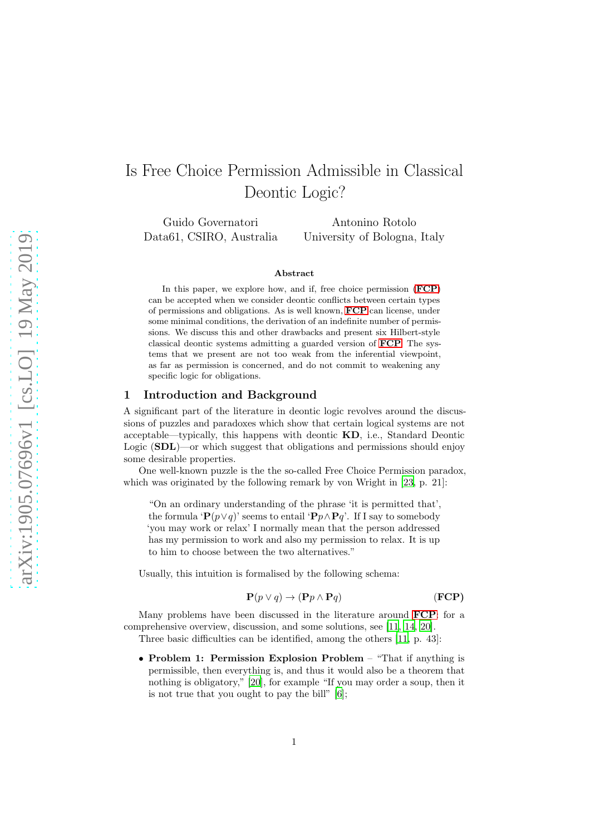# Is Free Choice Permission Admissible in Classical Deontic Logic?

Guido Governatori Data61, CSIRO, Australia

Antonino Rotolo University of Bologna, Italy

#### Abstract

In this paper, we explore how, and if, free choice permission ( $\mathbf{FCP}$  $\mathbf{FCP}$  $\mathbf{FCP}$ ) can be accepted when we consider deontic conflicts between certain types of permissions and obligations. As is well known, [FCP](#page-0-0) can license, under some minimal conditions, the derivation of an indefinite number of permissions. We discuss this and other drawbacks and present six Hilbert-style classical deontic systems admitting a guarded version of [FCP](#page-0-0). The systems that we present are not too weak from the inferential viewpoint, as far as permission is concerned, and do not commit to weakening any specific logic for obligations.

# 1 Introduction and Background

A significant part of the literature in deontic logic revolves around the discussions of puzzles and paradoxes which show that certain logical systems are not acceptable—typically, this happens with deontic KD, i.e., Standard Deontic Logic (SDL)—or which suggest that obligations and permissions should enjoy some desirable properties.

One well-known puzzle is the the so-called Free Choice Permission paradox, which was originated by the following remark by von Wright in [\[23,](#page-17-0) p. 21]:

"On an ordinary understanding of the phrase 'it is permitted that', the formula ' ${\bf P}(p \lor q)$ ' seems to entail ' ${\bf P}p \land {\bf P}q'$ . If I say to somebody 'you may work or relax' I normally mean that the person addressed has my permission to work and also my permission to relax. It is up to him to choose between the two alternatives."

Usually, this intuition is formalised by the following schema:

<span id="page-0-0"></span>
$$
\mathbf{P}(p \lor q) \to (\mathbf{P}p \land \mathbf{P}q) \tag{FCP}
$$

Many problems have been discussed in the literature around [FCP](#page-0-0): for a comprehensive overview, discussion, and some solutions, see [\[11,](#page-16-0) [14](#page-17-1), [20](#page-17-2)].

Three basic difficulties can be identified, among the others [\[11](#page-16-0), p. 43]:

• Problem 1: Permission Explosion Problem – "That if anything is permissible, then everything is, and thus it would also be a theorem that nothing is obligatory," [\[20\]](#page-17-2), for example "If you may order a soup, then it is not true that you ought to pay the bill" [\[6\]](#page-16-1);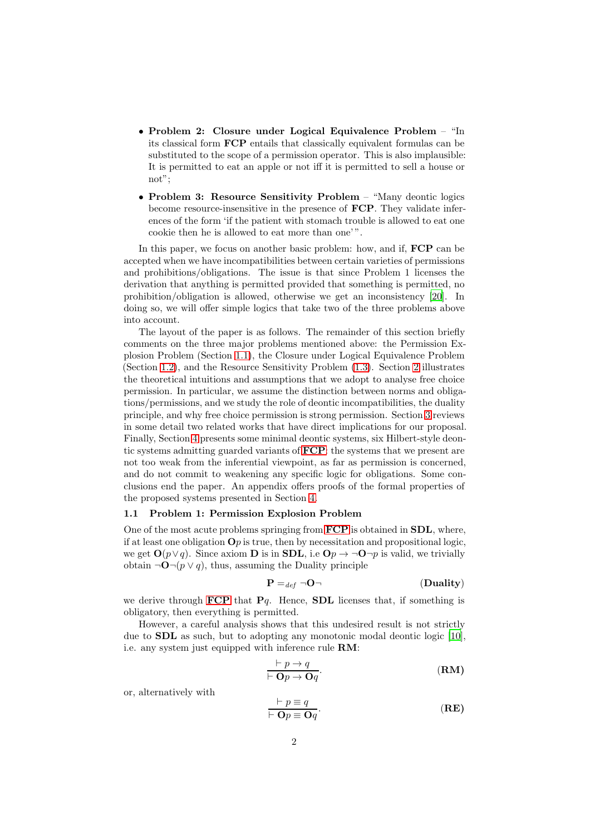- Problem 2: Closure under Logical Equivalence Problem "In its classical form FCP entails that classically equivalent formulas can be substituted to the scope of a permission operator. This is also implausible: It is permitted to eat an apple or not iff it is permitted to sell a house or not";
- Problem 3: Resource Sensitivity Problem "Many deontic logics" become resource-insensitive in the presence of FCP. They validate inferences of the form 'if the patient with stomach trouble is allowed to eat one cookie then he is allowed to eat more than one' ".

In this paper, we focus on another basic problem: how, and if,  $\mathbf{FCP}$  can be accepted when we have incompatibilities between certain varieties of permissions and prohibitions/obligations. The issue is that since Problem 1 licenses the derivation that anything is permitted provided that something is permitted, no prohibition/obligation is allowed, otherwise we get an inconsistency [\[20\]](#page-17-2). In doing so, we will offer simple logics that take two of the three problems above into account.

The layout of the paper is as follows. The remainder of this section briefly comments on the three major problems mentioned above: the Permission Explosion Problem (Section [1.1\)](#page-1-0), the Closure under Logical Equivalence Problem (Section [1.2\)](#page-2-0), and the Resource Sensitivity Problem [\(1.3\)](#page-3-0). Section [2](#page-3-1) illustrates the theoretical intuitions and assumptions that we adopt to analyse free choice permission. In particular, we assume the distinction between norms and obligations/permissions, and we study the role of deontic incompatibilities, the duality principle, and why free choice permission is strong permission. Section [3](#page-8-0) reviews in some detail two related works that have direct implications for our proposal. Finally, Section [4](#page-11-0) presents some minimal deontic systems, six Hilbert-style deontic systems admitting guarded variants of [FCP](#page-0-0): the systems that we present are not too weak from the inferential viewpoint, as far as permission is concerned, and do not commit to weakening any specific logic for obligations. Some conclusions end the paper. An appendix offers proofs of the formal properties of the proposed systems presented in Section [4.](#page-11-0)

#### <span id="page-1-0"></span>1.1 Problem 1: Permission Explosion Problem

One of the most acute problems springing from [FCP](#page-0-0) is obtained in SDL, where, if at least one obligation  $\mathbf{O}p$  is true, then by necessitation and propositional logic, we get  $\mathbf{O}(p \vee q)$ . Since axiom **D** is in **SDL**, i.e  $\mathbf{O}p \rightarrow \neg \mathbf{O}\neg p$  is valid, we trivially obtain ¬ $\mathbf{O}$ ¬( $p \lor q$ ), thus, assuming the Duality principle

<span id="page-1-1"></span>
$$
\mathbf{P} =_{def} \neg \mathbf{O} \neg \tag{Duality}
$$

we derive through **[FCP](#page-0-0)** that  $Pq$ . Hence, **SDL** licenses that, if something is obligatory, then everything is permitted.

However, a careful analysis shows that this undesired result is not strictly due to SDL as such, but to adopting any monotonic modal deontic logic [\[10\]](#page-16-2), i.e. any system just equipped with inference rule RM:

<span id="page-1-2"></span>
$$
\frac{\vdash p \to q}{\vdash \mathbf{O}p \to \mathbf{O}q}.\tag{RM}
$$

or, alternatively with

<span id="page-1-3"></span>
$$
\frac{\vdash p \equiv q}{\vdash \mathbf{O}p \equiv \mathbf{O}q}.\tag{RE}
$$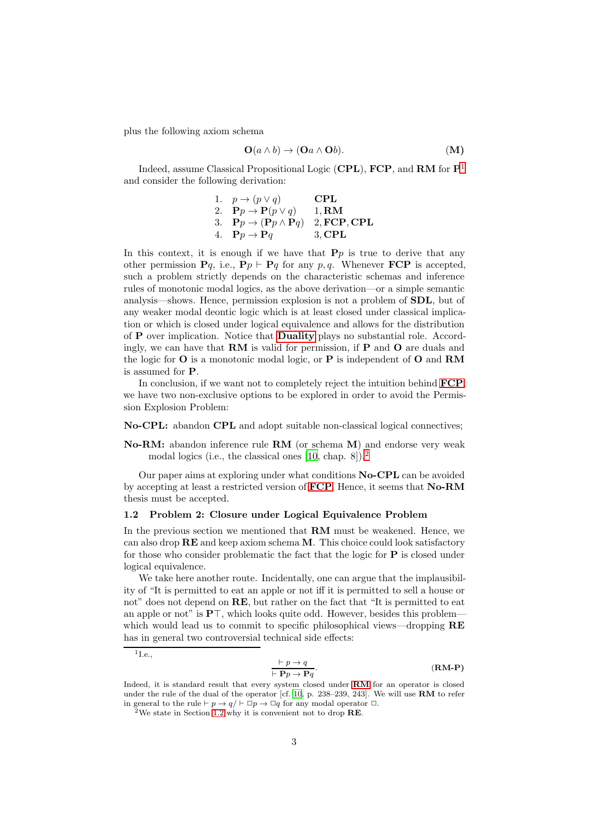plus the following axiom schema

$$
\mathbf{O}(a \wedge b) \to (\mathbf{O}a \wedge \mathbf{O}b). \tag{M}
$$

Indeed, assume Classical Propositional Logic (CPL), FCP, and RM for  $P<sup>1</sup>$  $P<sup>1</sup>$  $P<sup>1</sup>$ and consider the following derivation:

1. 
$$
p \rightarrow (p \lor q)
$$
 CPL  
\n2.  $\mathbf{P}p \rightarrow \mathbf{P}(p \lor q)$  1, RM  
\n3.  $\mathbf{P}p \rightarrow (\mathbf{P}p \land \mathbf{P}q)$  2, FCP, CPL  
\n4.  $\mathbf{P}p \rightarrow \mathbf{P}q$  3, CPL

In this context, it is enough if we have that  $\mathbf{P}p$  is true to derive that any other permission  $Pq$ , i.e.,  $Pp \vdash Pq$  for any p, q. Whenever  $\text{FCP}$  is accepted, such a problem strictly depends on the characteristic schemas and inference rules of monotonic modal logics, as the above derivation—or a simple semantic analysis—shows. Hence, permission explosion is not a problem of SDL, but of any weaker modal deontic logic which is at least closed under classical implication or which is closed under logical equivalence and allows for the distribution of P over implication. Notice that [Duality](#page-1-1) plays no substantial role. Accordingly, we can have that  $\mathbf{RM}$  is valid for permission, if  $\mathbf{P}$  and  $\mathbf{O}$  are duals and the logic for  $O$  is a monotonic modal logic, or  $P$  is independent of  $O$  and  $RM$ is assumed for P.

In conclusion, if we want not to completely reject the intuition behind  $\text{FCP}$  $\text{FCP}$  $\text{FCP}$ , we have two non-exclusive options to be explored in order to avoid the Permission Explosion Problem:

#### No-CPL: abandon CPL and adopt suitable non-classical logical connectives;

No-RM: abandon inference rule RM (or schema M) and endorse very weak modal logics (i.e., the classical ones [\[10](#page-16-2), chap. 8]).[2](#page-2-2)

Our paper aims at exploring under what conditions No-CPL can be avoided by accepting at least a restricted version of  $\mathbf{FCP}$  $\mathbf{FCP}$  $\mathbf{FCP}$ . Hence, it seems that  $\mathbf{No}\text{-}\mathbf{RM}$ thesis must be accepted.

#### <span id="page-2-0"></span>1.2 Problem 2: Closure under Logical Equivalence Problem

In the previous section we mentioned that RM must be weakened. Hence, we can also drop  $\mathbf{RE}$  and keep axiom schema  $\mathbf{M}$ . This choice could look satisfactory for those who consider problematic the fact that the logic for  $P$  is closed under logical equivalence.

We take here another route. Incidentally, one can argue that the implausibility of "It is permitted to eat an apple or not iff it is permitted to sell a house or not" does not depend on RE, but rather on the fact that "It is permitted to eat an apple or not" is P⊤, which looks quite odd. However, besides this problem which would lead us to commit to specific philosophical views—dropping  $\bf{RE}$ has in general two controversial technical side effects:

<span id="page-2-3"></span>
$$
\frac{\vdash p \to q}{\vdash \mathbf{P}p \to \mathbf{P}q}.\tag{RM-P}
$$

<span id="page-2-1"></span> $1_{\text{I.e.,}}$ 

Indeed, it is standard result that every system closed under [RM](#page-1-2) for an operator is closed under the rule of the dual of the operator  $\left[\text{cf. 10, p. 238-239, 243}\right]$  $\left[\text{cf. 10, p. 238-239, 243}\right]$  $\left[\text{cf. 10, p. 238-239, 243}\right]$ . We will use **RM** to refer in general to the rule  $\vdash p \rightarrow q/\vdash \Box p \rightarrow \Box q$  for any modal operator  $\Box$ .

<span id="page-2-2"></span><sup>&</sup>lt;sup>2</sup>We state in Section [1.2](#page-2-0) why it is convenient not to drop **RE**.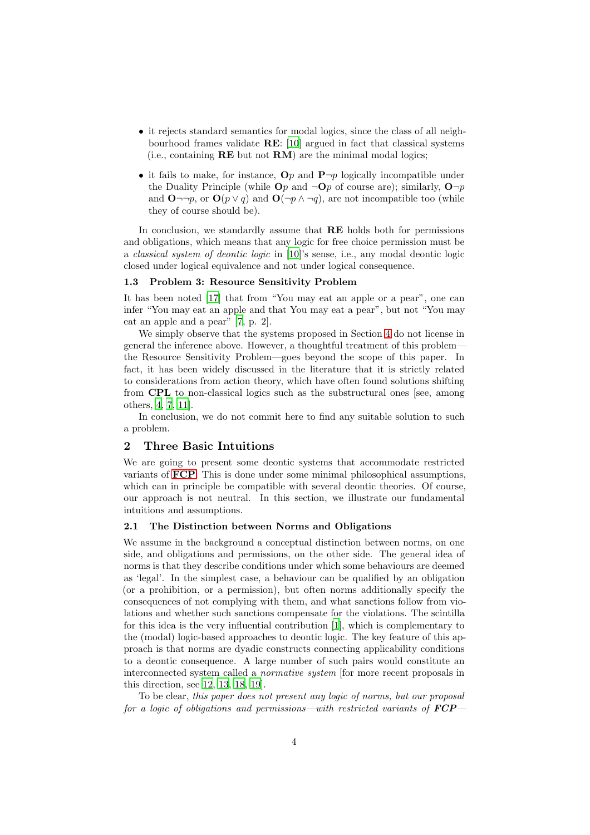- it rejects standard semantics for modal logics, since the class of all neighbourhood frames validate RE: [\[10\]](#page-16-2) argued in fact that classical systems (i.e., containing  $\bf{RE}$  but not  $\bf{RM}$ ) are the minimal modal logics;
- it fails to make, for instance,  $\mathbf{O}p$  and  $\mathbf{P}\neg p$  logically incompatible under the Duality Principle (while  $\mathbf{O}p$  and  $\neg \mathbf{O}p$  of course are); similarly,  $\mathbf{O}\neg p$ and  $\mathbf{O}\neg\neg p$ , or  $\mathbf{O}(p\vee q)$  and  $\mathbf{O}(\neg p\wedge \neg q)$ , are not incompatible too (while they of course should be).

In conclusion, we standardly assume that RE holds both for permissions and obligations, which means that any logic for free choice permission must be a classical system of deontic logic in [\[10\]](#page-16-2)'s sense, i.e., any modal deontic logic closed under logical equivalence and not under logical consequence.

#### <span id="page-3-0"></span>1.3 Problem 3: Resource Sensitivity Problem

It has been noted [\[17](#page-17-3)] that from "You may eat an apple or a pear", one can infer "You may eat an apple and that You may eat a pear", but not "You may eat an apple and a pear" [\[7,](#page-16-3) p. 2].

We simply observe that the systems proposed in Section [4](#page-11-0) do not license in general the inference above. However, a thoughtful treatment of this problem the Resource Sensitivity Problem—goes beyond the scope of this paper. In fact, it has been widely discussed in the literature that it is strictly related to considerations from action theory, which have often found solutions shifting from CPL to non-classical logics such as the substructural ones [see, among others, [4,](#page-16-4) [7,](#page-16-3) [11\]](#page-16-0).

In conclusion, we do not commit here to find any suitable solution to such a problem.

# <span id="page-3-1"></span>2 Three Basic Intuitions

We are going to present some deontic systems that accommodate restricted variants of [FCP](#page-0-0). This is done under some minimal philosophical assumptions, which can in principle be compatible with several deontic theories. Of course, our approach is not neutral. In this section, we illustrate our fundamental intuitions and assumptions.

# 2.1 The Distinction between Norms and Obligations

We assume in the background a conceptual distinction between norms, on one side, and obligations and permissions, on the other side. The general idea of norms is that they describe conditions under which some behaviours are deemed as 'legal'. In the simplest case, a behaviour can be qualified by an obligation (or a prohibition, or a permission), but often norms additionally specify the consequences of not complying with them, and what sanctions follow from violations and whether such sanctions compensate for the violations. The scintilla for this idea is the very influential contribution [\[1\]](#page-16-5), which is complementary to the (modal) logic-based approaches to deontic logic. The key feature of this approach is that norms are dyadic constructs connecting applicability conditions to a deontic consequence. A large number of such pairs would constitute an interconnected system called a normative system [for more recent proposals in this direction, see [12,](#page-16-6) [13,](#page-16-7) [18,](#page-17-4) [19\]](#page-17-5).

To be clear, this paper does not present any logic of norms, but our proposal for a logic of obligations and permissions—with restricted variants of  $\text{F}CP$ —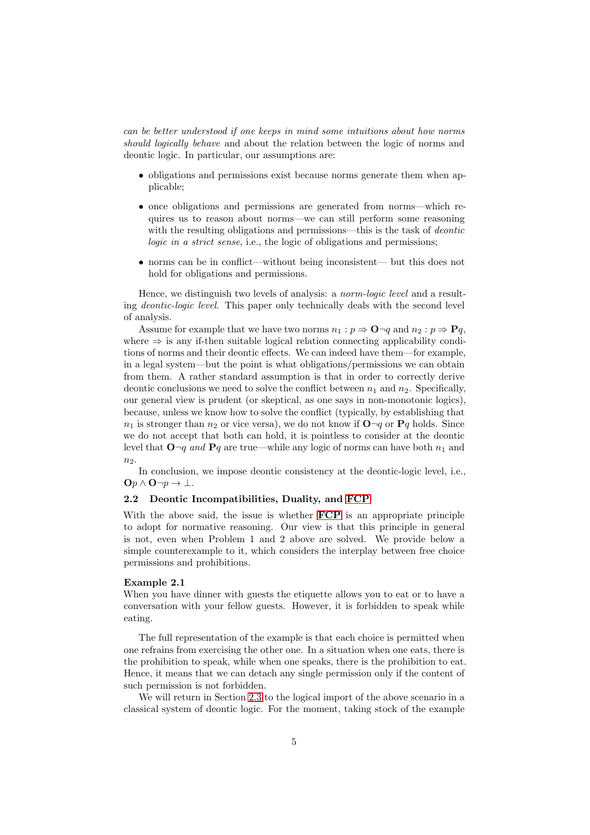can be better understood if one keeps in mind some intuitions about how norms should logically behave and about the relation between the logic of norms and deontic logic. In particular, our assumptions are:

- obligations and permissions exist because norms generate them when applicable;
- once obligations and permissions are generated from norms—which requires us to reason about norms—we can still perform some reasoning with the resulting obligations and permissions—this is the task of *deontic* logic in a strict sense, i.e., the logic of obligations and permissions;
- norms can be in conflict—without being inconsistent— but this does not hold for obligations and permissions.

Hence, we distinguish two levels of analysis: a *norm-logic level* and a resulting deontic-logic level. This paper only technically deals with the second level of analysis.

Assume for example that we have two norms  $n_1 : p \Rightarrow \mathbf{O} \neg q$  and  $n_2 : p \Rightarrow \mathbf{P}q$ , where  $\Rightarrow$  is any if-then suitable logical relation connecting applicability conditions of norms and their deontic effects. We can indeed have them—for example, in a legal system—but the point is what obligations/permissions we can obtain from them. A rather standard assumption is that in order to correctly derive deontic conclusions we need to solve the conflict between  $n_1$  and  $n_2$ . Specifically, our general view is prudent (or skeptical, as one says in non-monotonic logics), because, unless we know how to solve the conflict (typically, by establishing that  $n_1$  is stronger than  $n_2$  or vice versa), we do not know if  $\mathbf{O} \neg q$  or  $\mathbf{P} q$  holds. Since we do not accept that both can hold, it is pointless to consider at the deontic level that  $\mathbf{O} \neg q$  and  $\mathbf{P} q$  are true—while any logic of norms can have both  $n_1$  and  $n<sub>2</sub>$ .

In conclusion, we impose deontic consistency at the deontic-logic level, i.e.,  $\mathbf{O}p \wedge \mathbf{O} \neg p \rightarrow \bot.$ 

# 2.2 Deontic Incompatibilities, Duality, and [FCP](#page-0-0)

With the above said, the issue is whether **[FCP](#page-0-0)** is an appropriate principle to adopt for normative reasoning. Our view is that this principle in general is not, even when Problem 1 and 2 above are solved. We provide below a simple counterexample to it, which considers the interplay between free choice permissions and prohibitions.

# <span id="page-4-0"></span>Example 2.1

When you have dinner with guests the etiquette allows you to eat or to have a conversation with your fellow guests. However, it is forbidden to speak while eating.

The full representation of the example is that each choice is permitted when one refrains from exercising the other one. In a situation when one eats, there is the prohibition to speak, while when one speaks, there is the prohibition to eat. Hence, it means that we can detach any single permission only if the content of such permission is not forbidden.

We will return in Section [2.3](#page-5-0) to the logical import of the above scenario in a classical system of deontic logic. For the moment, taking stock of the example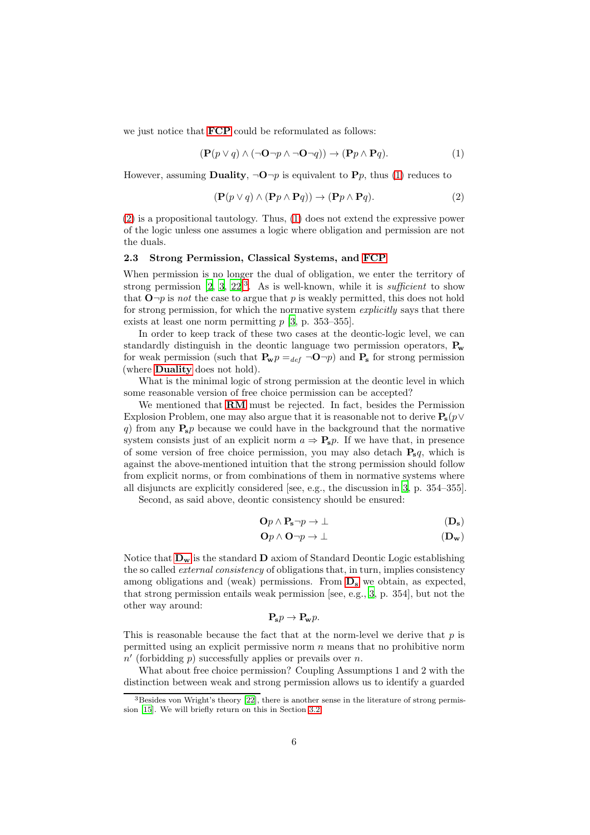we just notice that [FCP](#page-0-0) could be reformulated as follows:

<span id="page-5-1"></span>
$$
(\mathbf{P}(p \lor q) \land (\neg \mathbf{O} \neg p \land \neg \mathbf{O} \neg q)) \to (\mathbf{P}p \land \mathbf{P}q). \tag{1}
$$

However, assuming **Duality**,  $\neg \mathbf{O}\n\neg p$  is equivalent to **P***p*, thus [\(1\)](#page-5-1) reduces to

<span id="page-5-2"></span>
$$
(\mathbf{P}(p \lor q) \land (\mathbf{P}p \land \mathbf{P}q)) \to (\mathbf{P}p \land \mathbf{P}q). \tag{2}
$$

[\(2\)](#page-5-2) is a propositional tautology. Thus, [\(1\)](#page-5-1) does not extend the expressive power of the logic unless one assumes a logic where obligation and permission are not the duals.

#### <span id="page-5-0"></span>2.3 Strong Permission, Classical Systems, and [FCP](#page-0-0)

When permission is no longer the dual of obligation, we enter the territory of strong permission  $[2, 3, 22]^3$  $[2, 3, 22]^3$  $[2, 3, 22]^3$  $[2, 3, 22]^3$  $[2, 3, 22]^3$  $[2, 3, 22]^3$ . As is well-known, while it is *sufficient* to show that  $\mathbf{O} \neg p$  is not the case to argue that p is weakly permitted, this does not hold for strong permission, for which the normative system explicitly says that there exists at least one norm permitting  $p$  [\[3,](#page-16-9) p. 353–355].

In order to keep track of these two cases at the deontic-logic level, we can standardly distinguish in the deontic language two permission operators,  $P_w$ for weak permission (such that  $P_{w}p =_{def} \neg \mathbf{O}\neg p$ ) and  $P_{s}$  for strong permission (where [Duality](#page-1-1) does not hold).

What is the minimal logic of strong permission at the deontic level in which some reasonable version of free choice permission can be accepted?

We mentioned that [RM](#page-1-2) must be rejected. In fact, besides the Permission Explosion Problem, one may also argue that it is reasonable not to derive  $P_s(p \vee$ q) from any  $P_s p$  because we could have in the background that the normative system consists just of an explicit norm  $a \Rightarrow \mathbf{P_s} p$ . If we have that, in presence of some version of free choice permission, you may also detach  $P_s q$ , which is against the above-mentioned intuition that the strong permission should follow from explicit norms, or from combinations of them in normative systems where all disjuncts are explicitly considered [see, e.g., the discussion in [3](#page-16-9), p. 354–355].

Second, as said above, deontic consistency should be ensured:

$$
\mathbf{O}p \wedge \mathbf{P_s} \neg p \to \bot \tag{D_s}
$$

<span id="page-5-5"></span><span id="page-5-4"></span>
$$
\mathbf{O}p \wedge \mathbf{O} \neg p \rightarrow \bot \tag{D_w}
$$

Notice that  $D_w$  $D_w$  is the standard  $D$  axiom of Standard Deontic Logic establishing the so called *external consistency* of obligations that, in turn, implies consistency among obligations and (weak) permissions. From  $D_s$  $D_s$  we obtain, as expected, that strong permission entails weak permission [see, e.g., [3,](#page-16-9) p. 354], but not the other way around:

$$
\mathbf{P}_{\mathbf{s}}p\rightarrow\mathbf{P}_{\mathbf{w}}p.
$$

This is reasonable because the fact that at the norm-level we derive that  $p$  is permitted using an explicit permissive norm  $n$  means that no prohibitive norm  $\overline{n'}$  (forbidding  $\overline{p}$ ) successfully applies or prevails over n.

What about free choice permission? Coupling Assumptions 1 and 2 with the distinction between weak and strong permission allows us to identify a guarded

<span id="page-5-3"></span><sup>&</sup>lt;sup>3</sup>Besides von Wright's theory [\[22\]](#page-17-6), there is another sense in the literature of strong permission [\[15](#page-17-7)]. We will briefly return on this in Section [3.2.](#page-10-0)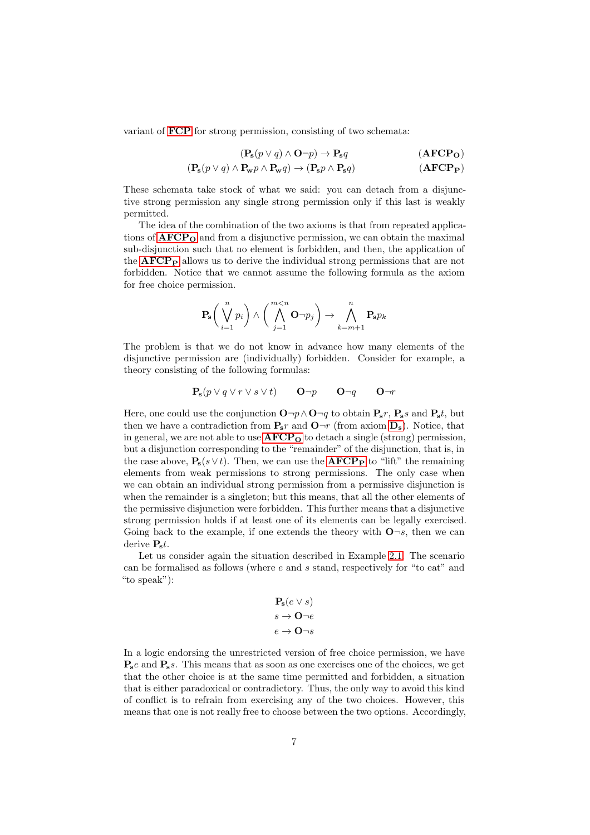variant of [FCP](#page-0-0) for strong permission, consisting of two schemata:

<span id="page-6-1"></span><span id="page-6-0"></span>
$$
(\mathbf{P_s}(p \lor q) \land \mathbf{O} \neg p) \to \mathbf{P_s}q \tag{AFCP_O}
$$

$$
(\mathbf{P_s}(p \lor q) \land \mathbf{P_w}p \land \mathbf{P_w}q) \to (\mathbf{P_s}p \land \mathbf{P_s}q) \tag{AFCP_P}
$$

These schemata take stock of what we said: you can detach from a disjunctive strong permission any single strong permission only if this last is weakly permitted.

The idea of the combination of the two axioms is that from repeated applications of  $\text{AFCP}_0$  $\text{AFCP}_0$  $\text{AFCP}_0$  and from a disjunctive permission, we can obtain the maximal sub-disjunction such that no element is forbidden, and then, the application of the  $\bf{AFCP}_P$  $\bf{AFCP}_P$  $\bf{AFCP}_P$  allows us to derive the individual strong permissions that are not forbidden. Notice that we cannot assume the following formula as the axiom for free choice permission.

$$
\mathbf{P}_{\mathbf{s}}\bigg(\bigvee_{i=1}^{n}p_{i}\bigg)\wedge\bigg(\bigwedge_{j=1}^{m
$$

The problem is that we do not know in advance how many elements of the disjunctive permission are (individually) forbidden. Consider for example, a theory consisting of the following formulas:

$$
\mathbf{P_s}(p \lor q \lor r \lor s \lor t) \qquad \mathbf{O} \neg p \qquad \mathbf{O} \neg q \qquad \mathbf{O} \neg r
$$

Here, one could use the conjunction  $\mathbf{O}\neg p \wedge \mathbf{O}\neg q$  to obtain  $\mathbf{P_s}r$ ,  $\mathbf{P_s}s$  and  $\mathbf{P_s}t$ , but then we have a contradiction from  $P_s r$  and  $O\neg r$  (from axiom  $D_s$  $D_s$ ). Notice, that in general, we are not able to use  $\text{AFCP}_0$  $\text{AFCP}_0$  $\text{AFCP}_0$  to detach a single (strong) permission, but a disjunction corresponding to the "remainder" of the disjunction, that is, in the case above,  $P_s(s \vee t)$ . Then, we can use the **[AFCP](#page-6-1)P** to "lift" the remaining elements from weak permissions to strong permissions. The only case when we can obtain an individual strong permission from a permissive disjunction is when the remainder is a singleton; but this means, that all the other elements of the permissive disjunction were forbidden. This further means that a disjunctive strong permission holds if at least one of its elements can be legally exercised. Going back to the example, if one extends the theory with  $\mathbf{O}\neg s$ , then we can derive  $P<sub>s</sub>t$ .

Let us consider again the situation described in Example [2.1.](#page-4-0) The scenario can be formalised as follows (where  $e$  and  $s$  stand, respectively for "to eat" and "to speak"):

$$
\mathbf{P_s}(e \lor s)
$$

$$
s \to \mathbf{O} \neg e
$$

$$
e \to \mathbf{O} \neg s
$$

In a logic endorsing the unrestricted version of free choice permission, we have  $P_s$ e and  $P_s$ s. This means that as soon as one exercises one of the choices, we get that the other choice is at the same time permitted and forbidden, a situation that is either paradoxical or contradictory. Thus, the only way to avoid this kind of conflict is to refrain from exercising any of the two choices. However, this means that one is not really free to choose between the two options. Accordingly,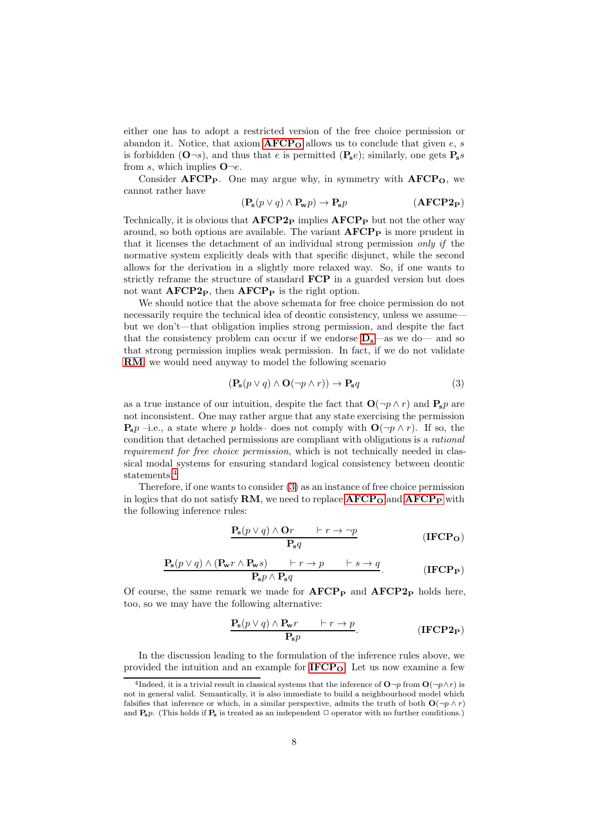either one has to adopt a restricted version of the free choice permission or abandon it. Notice, that axiom  $\text{AFCP}_0$  $\text{AFCP}_0$  $\text{AFCP}_0$  allows us to conclude that given e, s is forbidden  $(\mathbf{O}\neg s)$ , and thus that e is permitted  $(\mathbf{P}_s e)$ ; similarly, one gets  $\mathbf{P}_s s$ from s, which implies  $\mathbf{O} \neg e$ .

Consider  $\text{AFCP}_P$ . One may argue why, in symmetry with  $\text{AFCP}_O$ , we cannot rather have

<span id="page-7-5"></span>
$$
(\mathbf{P_s}(p \lor q) \land \mathbf{P_w}p) \to \mathbf{P_s}p \tag{AFCP2P}
$$

Technically, it is obvious that  $\bf{AFCP2}_P$  implies  $\bf{AFCP}_P$  but not the other way around, so both options are available. The variant  $\mathbf{AFCP}_P$  is more prudent in that it licenses the detachment of an individual strong permission only if the normative system explicitly deals with that specific disjunct, while the second allows for the derivation in a slightly more relaxed way. So, if one wants to strictly reframe the structure of standard FCP in a guarded version but does not want  $\text{AFCP2}_P$ , then  $\text{AFCP}_P$  is the right option.

We should notice that the above schemata for free choice permission do not necessarily require the technical idea of deontic consistency, unless we assume but we don't—that obligation implies strong permission, and despite the fact that the consistency problem can occur if we endorse  $D_s$  $D_s$ —as we do— and so that strong permission implies weak permission. In fact, if we do not validate [RM](#page-1-2), we would need anyway to model the following scenario

<span id="page-7-1"></span>
$$
(\mathbf{P_s}(p \lor q) \land \mathbf{O}(\neg p \land r)) \to \mathbf{P_s}q \tag{3}
$$

as a true instance of our intuition, despite the fact that  $O(\neg p \wedge r)$  and  $P_s p$  are not inconsistent. One may rather argue that any state exercising the permission  $\mathbf{P_s}p$  –i.e., a state where p holds– does not comply with  $\mathbf{O}(\neg p \wedge r)$ . If so, the condition that detached permissions are compliant with obligations is a rational requirement for free choice permission, which is not technically needed in classical modal systems for ensuring standard logical consistency between deontic statements.<sup>[4](#page-7-0)</sup>

Therefore, if one wants to consider [\(3\)](#page-7-1) as an instance of free choice permission in logics that do not satisfy  $RM$ , we need to replace  $AFCP<sub>O</sub>$  $AFCP<sub>O</sub>$  and  $AFCP<sub>P</sub>$  with the following inference rules:

<span id="page-7-3"></span><span id="page-7-2"></span>
$$
\frac{\mathbf{P_s}(p \lor q) \land \mathbf{O}r \qquad \vdash r \to \neg p}{\mathbf{P_s}q} \tag{IFCP}_\mathbf{O}
$$

$$
\frac{\mathbf{P_s}(p \lor q) \land (\mathbf{P_w}r \land \mathbf{P_w}s) \qquad \vdash r \to p \qquad \vdash s \to q}{\mathbf{P_s}p \land \mathbf{P_s}q}. \tag{IFCPP}
$$

Of course, the same remark we made for  $\text{AFCP}_P$  and  $\text{AFCP}_P$  holds here, too, so we may have the following alternative:

<span id="page-7-4"></span>
$$
\frac{\mathbf{P_s}(p \lor q) \land \mathbf{P_w}r \qquad \vdash r \to p}{\mathbf{P_s}p}.
$$
 (IFCP2<sub>P</sub>)

In the discussion leading to the formulation of the inference rules above, we provided the intuition and an example for  $IFCP<sub>O</sub>$  $IFCP<sub>O</sub>$ . Let us now examine a few

<span id="page-7-0"></span><sup>&</sup>lt;sup>4</sup>Indeed, it is a trivial result in classical systems that the inference of  $\mathbf{O}\neg p$  from  $\mathbf{O}(\neg p\wedge r)$  is not in general valid. Semantically, it is also immediate to build a neighbourhood model which falsifies that inference or which, in a similar perspective, admits the truth of both  $O(\neg p \land r)$ and  $\mathbf{P}_{s}p$ . (This holds if  $\mathbf{P}_{s}$  is treated as an independent  $\Box$  operator with no further conditions.)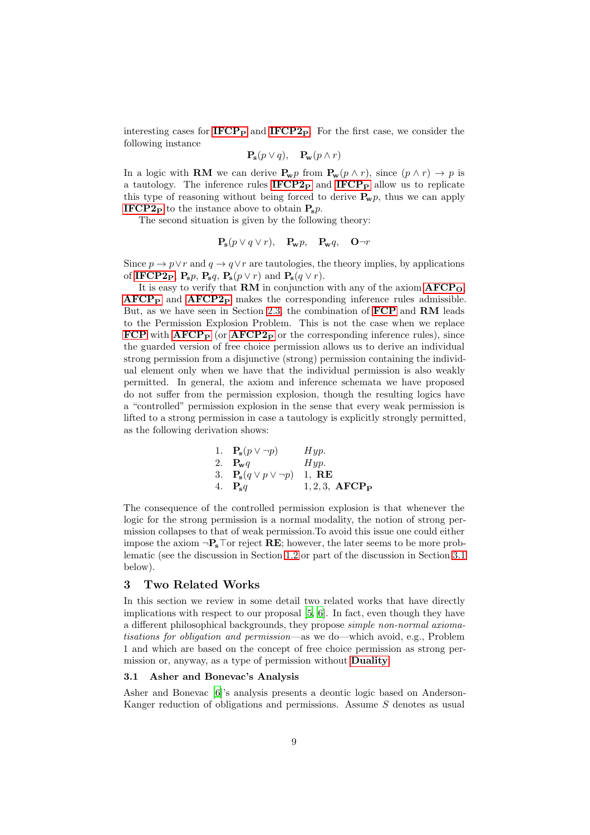interesting cases for  $IFCP<sub>P</sub>$  $IFCP<sub>P</sub>$  and  $IFCP<sub>2P</sub>$ . For the first case, we consider the following instance

$$
\mathbf{P_s}(p \lor q), \quad \mathbf{P_w}(p \land r)
$$

In a logic with **RM** we can derive  $P_{\mathbf{w}}p$  from  $P_{\mathbf{w}}(p \wedge r)$ , since  $(p \wedge r) \rightarrow p$  is a tautology. The inference rules  $IFCP2<sub>P</sub>$  $IFCP2<sub>P</sub>$  and  $IFCP<sub>P</sub>$  $IFCP<sub>P</sub>$  allow us to replicate this type of reasoning without being forced to derive  $P_w p$ , thus we can apply **[IFCP2](#page-7-4)P** to the instance above to obtain  $\mathbf{P_s}p$ .

The second situation is given by the following theory:

$$
\mathbf{P_s}(p \lor q \lor r), \quad \mathbf{P_w}p, \quad \mathbf{P_w}q, \quad \mathbf{O}\neg r
$$

Since  $p \to p \vee r$  and  $q \to q \vee r$  are tautologies, the theory implies, by applications of [IFCP2](#page-7-4)<sub>P</sub>, P<sub>s</sub>p, P<sub>s</sub>q, P<sub>s</sub>( $p \lor r$ ) and P<sub>s</sub>( $q \lor r$ ).

It is easy to verify that **RM** in conjunction with any of the axiom  $\text{AFCP}_0$  $\text{AFCP}_0$  $\text{AFCP}_0$ ,  $\text{AFCP}_P$  $\text{AFCP}_P$  $\text{AFCP}_P$  and  $\text{AFCP2}_P$  $\text{AFCP2}_P$  $\text{AFCP2}_P$  makes the corresponding inference rules admissible. But, as we have seen in Section [2.3,](#page-5-0) the combination of [FCP](#page-0-0) and RM leads to the Permission Explosion Problem. This is not the case when we replace [FCP](#page-0-0) with  $AFCP<sub>P</sub>$  $AFCP<sub>P</sub>$  (or  $AFCP<sub>2P</sub>$  or the corresponding inference rules), since the guarded version of free choice permission allows us to derive an individual strong permission from a disjunctive (strong) permission containing the individual element only when we have that the individual permission is also weakly permitted. In general, the axiom and inference schemata we have proposed do not suffer from the permission explosion, though the resulting logics have a "controlled" permission explosion in the sense that every weak permission is lifted to a strong permission in case a tautology is explicitly strongly permitted, as the following derivation shows:

1. 
$$
\mathbf{P_s}(p \lor \neg p)
$$
 *Hyp*.  
\n2.  $\mathbf{P_w}q$  *Hyp*.  
\n3.  $\mathbf{P_s}(q \lor p \lor \neg p)$  1, **RE**  
\n4.  $\mathbf{P_s}q$  1, 2, 3, **AFCP**<sub>P</sub>

The consequence of the controlled permission explosion is that whenever the logic for the strong permission is a normal modality, the notion of strong permission collapses to that of weak permission.To avoid this issue one could either impose the axiom  $\neg P_s\top$ or reject **RE**; however, the later seems to be more problematic (see the discussion in Section [1.2](#page-2-0) or part of the discussion in Section [3.1](#page-8-1) below).

# <span id="page-8-0"></span>3 Two Related Works

In this section we review in some detail two related works that have directly implications with respect to our proposal [\[5,](#page-16-10) [6\]](#page-16-1). In fact, even though they have a different philosophical backgrounds, they propose simple non-normal axiomatisations for obligation and permission—as we do—which avoid, e.g., Problem 1 and which are based on the concept of free choice permission as strong permission or, anyway, as a type of permission without **[Duality](#page-1-1)**.

#### <span id="page-8-1"></span>3.1 Asher and Bonevac's Analysis

Asher and Bonevac [\[6](#page-16-1)]'s analysis presents a deontic logic based on Anderson-Kanger reduction of obligations and permissions. Assume S denotes as usual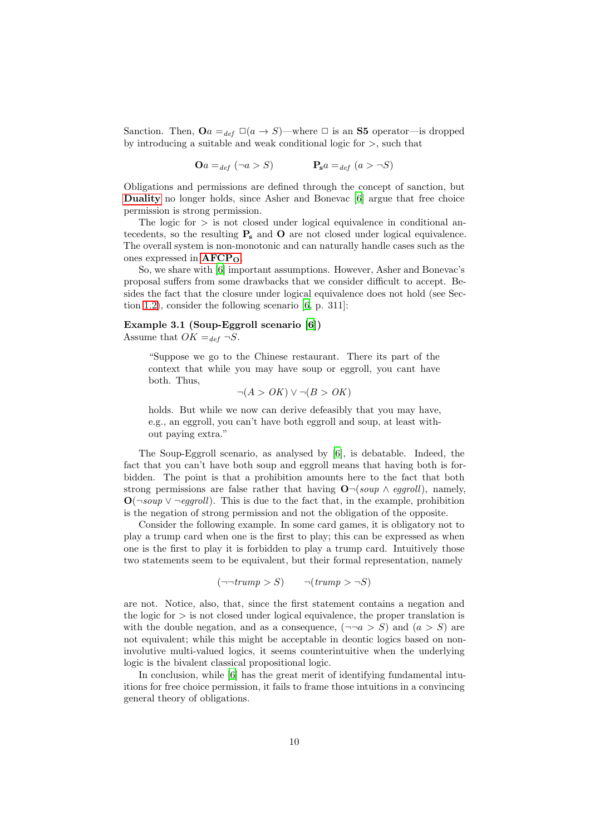Sanction. Then,  $\mathbf{O}a =_{def} \Box(a \to S)$ —where  $\Box$  is an **S5** operator—is dropped by introducing a suitable and weak conditional logic for >, such that

 $\mathbf{O}a =_{def} (\neg a > S)$   $\mathbf{P_s}a =_{def} (a > \neg S)$ 

Obligations and permissions are defined through the concept of sanction, but [Duality](#page-1-1) no longer holds, since Asher and Bonevac [\[6\]](#page-16-1) argue that free choice permission is strong permission.

The logic for  $>$  is not closed under logical equivalence in conditional antecedents, so the resulting  $P<sub>s</sub>$  and O are not closed under logical equivalence. The overall system is non-monotonic and can naturally handle cases such as the ones expressed in  $\text{AFCP}_0$  $\text{AFCP}_0$  $\text{AFCP}_0$ .

So, we share with [\[6\]](#page-16-1) important assumptions. However, Asher and Bonevac's proposal suffers from some drawbacks that we consider difficult to accept. Besides the fact that the closure under logical equivalence does not hold (see Section [1.2\)](#page-2-0), consider the following scenario [\[6,](#page-16-1) p. 311]:

## Example 3.1 (Soup-Eggroll scenario [\[6\]](#page-16-1))

Assume that  $OK =_{def} \neg S$ .

"Suppose we go to the Chinese restaurant. There its part of the context that while you may have soup or eggroll, you cant have both. Thus,

$$
\neg(A > OK) \lor \neg(B > OK)
$$

holds. But while we now can derive defeasibly that you may have, e.g., an eggroll, you can't have both eggroll and soup, at least without paying extra."

The Soup-Eggroll scenario, as analysed by [\[6](#page-16-1)], is debatable. Indeed, the fact that you can't have both soup and eggroll means that having both is forbidden. The point is that a prohibition amounts here to the fact that both strong permissions are false rather that having  $\mathbf{O}\neg(soup \wedge eggroll)$ , namely,  $\mathbf{O}(\neg \text{soup} \lor \neg \text{eqaroll})$ . This is due to the fact that, in the example, prohibition is the negation of strong permission and not the obligation of the opposite.

Consider the following example. In some card games, it is obligatory not to play a trump card when one is the first to play; this can be expressed as when one is the first to play it is forbidden to play a trump card. Intuitively those two statements seem to be equivalent, but their formal representation, namely

$$
(\neg\neg \textit{trump} > S) \qquad \neg (\textit{trump} > \neg S)
$$

are not. Notice, also, that, since the first statement contains a negation and the logic for  $>$  is not closed under logical equivalence, the proper translation is with the double negation, and as a consequence,  $(\neg \neg a > S)$  and  $(a > S)$  are not equivalent; while this might be acceptable in deontic logics based on noninvolutive multi-valued logics, it seems counterintuitive when the underlying logic is the bivalent classical propositional logic.

In conclusion, while [\[6](#page-16-1)] has the great merit of identifying fundamental intuitions for free choice permission, it fails to frame those intuitions in a convincing general theory of obligations.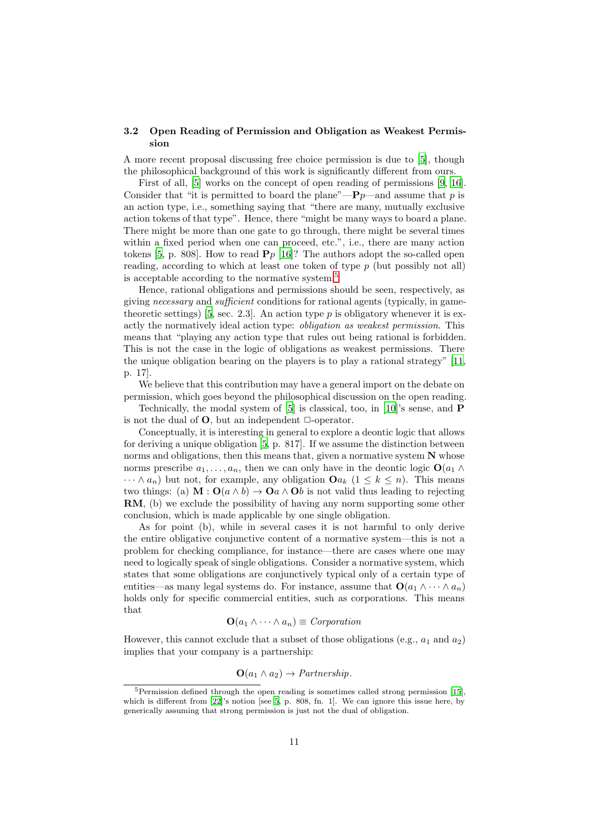## <span id="page-10-0"></span>3.2 Open Reading of Permission and Obligation as Weakest Permission

A more recent proposal discussing free choice permission is due to [\[5\]](#page-16-10), though the philosophical background of this work is significantly different from ours.

First of all, [\[5\]](#page-16-10) works on the concept of open reading of permissions [\[9,](#page-16-11) [16\]](#page-17-8). Consider that "it is permitted to board the plane"— $\mathbf{P}p$ —and assume that p is an action type, i.e., something saying that "there are many, mutually exclusive action tokens of that type". Hence, there "might be many ways to board a plane. There might be more than one gate to go through, there might be several times within a fixed period when one can proceed, etc.", i.e., there are many action tokens [\[5,](#page-16-10) p. 808]. How to read  $P_p$  [\[16\]](#page-17-8)? The authors adopt the so-called open reading, according to which at least one token of type  $p$  (but possibly not all) is acceptable according to the normative system.<sup>[5](#page-10-1)</sup>

Hence, rational obligations and permissions should be seen, respectively, as giving necessary and sufficient conditions for rational agents (typically, in game-theoretic settings) [\[5,](#page-16-10) sec. 2.3]. An action type  $p$  is obligatory whenever it is exactly the normatively ideal action type: *obligation as weakest permission*. This means that "playing any action type that rules out being rational is forbidden. This is not the case in the logic of obligations as weakest permissions. There the unique obligation bearing on the players is to play a rational strategy" [\[11](#page-16-0), p. 17].

We believe that this contribution may have a general import on the debate on permission, which goes beyond the philosophical discussion on the open reading.

Technically, the modal system of  $[5]$  is classical, too, in  $[10]$ 's sense, and **P** is not the dual of  $O$ , but an independent  $\Box$ -operator.

Conceptually, it is interesting in general to explore a deontic logic that allows for deriving a unique obligation [\[5](#page-16-10), p. 817]. If we assume the distinction between norms and obligations, then this means that, given a normative system  $N$  whose norms prescribe  $a_1, \ldots, a_n$ , then we can only have in the deontic logic  $\mathbf{O}(a_1 \wedge$  $\cdots \wedge a_n$ ) but not, for example, any obligation  $\mathbf{O}a_k$   $(1 \leq k \leq n)$ . This means two things: (a)  $\mathbf{M} : \mathbf{O}(a \wedge b) \to \mathbf{O}a \wedge \mathbf{O}b$  is not valid thus leading to rejecting RM, (b) we exclude the possibility of having any norm supporting some other conclusion, which is made applicable by one single obligation.

As for point (b), while in several cases it is not harmful to only derive the entire obligative conjunctive content of a normative system—this is not a problem for checking compliance, for instance—there are cases where one may need to logically speak of single obligations. Consider a normative system, which states that some obligations are conjunctively typical only of a certain type of entities—as many legal systems do. For instance, assume that  $\mathbf{O}(a_1 \wedge \cdots \wedge a_n)$ holds only for specific commercial entities, such as corporations. This means that

$$
\mathbf{O}(a_1 \wedge \cdots \wedge a_n) \equiv \text{Corporation}
$$

However, this cannot exclude that a subset of those obligations (e.g.,  $a_1$  and  $a_2$ ) implies that your company is a partnership:

$$
O(a_1 \wedge a_2) \rightarrow Partnership.
$$

<span id="page-10-1"></span> $5$ Permission defined through the open reading is sometimes called strong permission [\[15](#page-17-7)], which is different from [\[22\]](#page-17-6)'s notion [see [5](#page-16-10), p. 808, fn. 1]. We can ignore this issue here, by generically assuming that strong permission is just not the dual of obligation.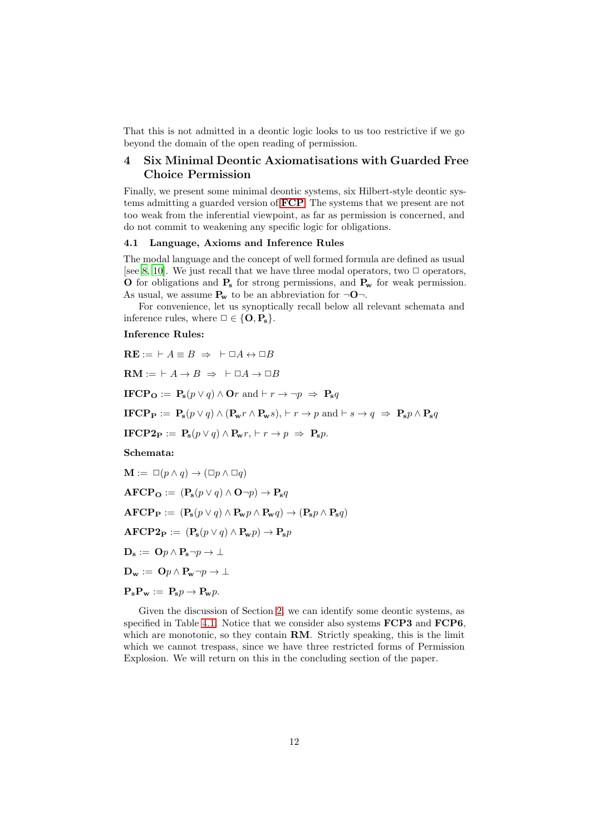That this is not admitted in a deontic logic looks to us too restrictive if we go beyond the domain of the open reading of permission.

# <span id="page-11-0"></span>4 Six Minimal Deontic Axiomatisations with Guarded Free Choice Permission

Finally, we present some minimal deontic systems, six Hilbert-style deontic systems admitting a guarded version of [FCP](#page-0-0). The systems that we present are not too weak from the inferential viewpoint, as far as permission is concerned, and do not commit to weakening any specific logic for obligations.

# 4.1 Language, Axioms and Inference Rules

The modal language and the concept of well formed formula are defined as usual [see [8](#page-16-12), [10](#page-16-2)]. We just recall that we have three modal operators, two  $\Box$  operators, O for obligations and  $P_s$  for strong permissions, and  $P_w$  for weak permission. As usual, we assume  $P_w$  to be an abbreviation for  $\neg$ O $\neg$ .

For convenience, let us synoptically recall below all relevant schemata and inference rules, where  $\Box \in \{O, P_s\}.$ 

## Inference Rules:

<span id="page-11-1"></span>
$$
RE := \vdash A \equiv B \Rightarrow \vdash \Box A \leftrightarrow \Box B
$$
\n
$$
RM := \vdash A \rightarrow B \Rightarrow \vdash \Box A \rightarrow \Box B
$$
\n
$$
IFCP_{O} := P_{s}(p \lor q) \land Or \text{ and } \vdash r \rightarrow \neg p \Rightarrow P_{s}q
$$
\n
$$
IFCP_{P} := P_{s}(p \lor q) \land (P_{w}r \land P_{w}s), \vdash r \rightarrow p \text{ and } \vdash s \rightarrow q \Rightarrow P_{s}p \land P_{s}q
$$
\n
$$
IFCP2_{P} := P_{s}(p \lor q) \land P_{w}r, \vdash r \rightarrow p \Rightarrow P_{s}p.
$$
\n
$$
Schematic:
$$
\n
$$
M := \Box(p \land q) \rightarrow (\Box p \land \Box q)
$$
\n
$$
AFCP_{O} := (P_{s}(p \lor q) \land O \neg p) \rightarrow P_{s}q
$$
\n
$$
AFCP_{P} := (P_{s}(p \lor q) \land P_{w}p \land P_{w}q) \rightarrow (P_{s}p \land P_{s}q)
$$
\n
$$
AFCP2_{P} := (P_{s}(p \lor q) \land P_{w}p) \rightarrow P_{s}p
$$
\n
$$
D_{s} := Op \land P_{s} \neg p \rightarrow \bot
$$
\n
$$
D_{w} := Op \land P_{w} \neg p \rightarrow \bot
$$

$$
\mathbf{P_s} \mathbf{P_w} := \mathbf{P_s} p \to \mathbf{P_w} p.
$$

Given the discussion of Section [2,](#page-3-1) we can identify some deontic systems, as specified in Table [4.1.](#page-11-1) Notice that we consider also systems **FCP3** and **FCP6**, which are monotonic, so they contain **RM**. Strictly speaking, this is the limit which we cannot trespass, since we have three restricted forms of Permission Explosion. We will return on this in the concluding section of the paper.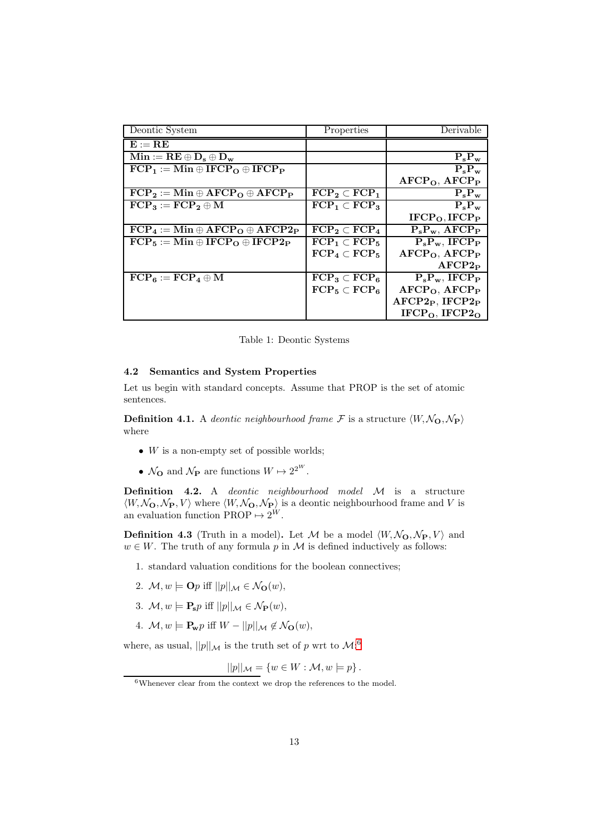| Deontic System                                                        | Properties                          | Derivable                             |
|-----------------------------------------------------------------------|-------------------------------------|---------------------------------------|
| $\mathbf{E} := \mathbf{R} \mathbf{E}$                                 |                                     |                                       |
| $\mathbf{Min} := \mathbf{RE} \oplus \mathbf{D}_s \oplus \mathbf{D}_w$ |                                     | $P_s P_w$                             |
| $FCP_1 := Min \oplus IFCP_{\Omega} \oplus IFCP_{\mathbf{P}}$          |                                     | $P_{s}P_{w}$                          |
|                                                                       |                                     | AFCP <sub>O</sub> , AFCP <sub>P</sub> |
| $FCP_2 := Min \oplus AFCP_0 \oplus \overline{AFCP_P}$                 | $\text{FCP}_2 \subset \text{FCP}_1$ | $P_s P_w$                             |
| $\text{FCP}_3 := \text{FCP}_2 \oplus \text{M}$                        | $\text{FCP}_1 \subset \text{FCP}_3$ | $P_s P_w$                             |
|                                                                       |                                     | IFCP <sub>O</sub> , IFCP <sub>P</sub> |
| $FCP_4 := Min \oplus AFCP_{\Omega} \oplus AFCP_{\mathcal{P}}$         | $\text{FCP}_2 \subset \text{FCP}_4$ | $P_s P_w$ , AFCP <sub>P</sub>         |
| $FCP_5 := Min \oplus IFCP_0 \oplus IFCP2_P$                           | $\text{FCP}_1 \subset \text{FCP}_5$ | $P_s P_w$ , IFCP <sub>P</sub>         |
|                                                                       | $\text{FCP}_4 \subset \text{FCP}_5$ | AFCP <sub>O</sub> , AFCP <sub>P</sub> |
|                                                                       |                                     | AFCP2 <sub>P</sub>                    |
| $\text{FCP}_6 := \text{FCP}_4 \oplus \text{M}$                        | $\text{FCP}_3 \subset \text{FCP}_6$ | $P_s P_w$ , IFCP <sub>P</sub>         |
|                                                                       | $\text{FCP}_5 \subset \text{FCP}_6$ | $AFCPO$ , $AFCPP$                     |
|                                                                       |                                     | $AFCP2P$ , IFCP2 <sub>P</sub>         |
|                                                                       |                                     | $IFCPO$ , $IFCP2O$                    |

Table 1: Deontic Systems

#### <span id="page-12-1"></span>4.2 Semantics and System Properties

Let us begin with standard concepts. Assume that PROP is the set of atomic sentences.

**Definition 4.1.** A deontic neighbourhood frame F is a structure  $\langle W, \mathcal{N}_{\mathbf{O}}, \mathcal{N}_{\mathbf{P}} \rangle$ where

- $W$  is a non-empty set of possible worlds;
- $\mathcal{N}_{\mathbf{O}}$  and  $\mathcal{N}_{\mathbf{P}}$  are functions  $W \mapsto 2^{2^W}$ .

Definition 4.2. A deontic neighbourhood model M is a structure  $\langle W, \mathcal{N}_{\mathbf{O}}, \mathcal{N}_{\mathbf{P}}, V \rangle$  where  $\langle W, \mathcal{N}_{\mathbf{O}}, \mathcal{N}_{\mathbf{P}} \rangle$  is a deontic neighbourhood frame and V is an evaluation function  $PROP \rightarrow 2^W$ .

**Definition 4.3** (Truth in a model). Let M be a model  $\langle W, \mathcal{N}_{\mathbf{O}}, \mathcal{N}_{\mathbf{P}}, V \rangle$  and  $w \in W$ . The truth of any formula p in M is defined inductively as follows:

- 1. standard valuation conditions for the boolean connectives;
- 2.  $\mathcal{M}, w \models \mathbf{O}p$  iff  $||p||_{\mathcal{M}} \in \mathcal{N}_{\mathbf{O}}(w)$ ,
- 3.  $\mathcal{M}, w \models \mathbf{P}_s p$  iff  $||p||_{\mathcal{M}} \in \mathcal{N}_{\mathbf{P}}(w)$ ,
- 4.  $\mathcal{M}, w \models \mathbf{P_w} p \text{ iff } W ||p||_{\mathcal{M}} \notin \mathcal{N}_{\mathbf{O}}(w),$

where, as usual,  $||p||_{\mathcal{M}}$  is the truth set of p wrt to  $\mathcal{M}$ :<sup>[6](#page-12-0)</sup>

$$
||p||_{\mathcal{M}} = \{w \in W : \mathcal{M}, w \models p\}.
$$

<span id="page-12-0"></span> $6$ Whenever clear from the context we drop the references to the model.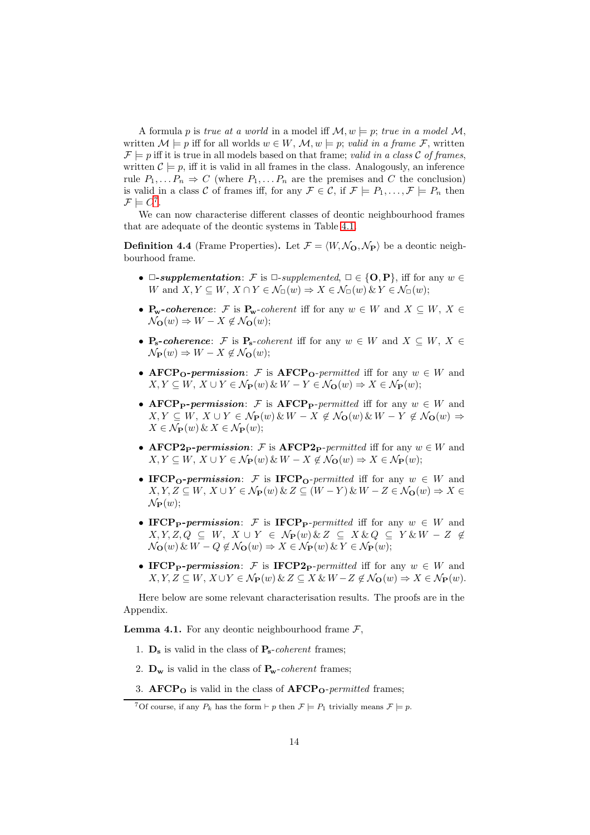A formula p is true at a world in a model iff  $\mathcal{M}, w \models p$ ; true in a model  $\mathcal{M},$ written  $\mathcal{M} \models p$  iff for all worlds  $w \in W$ ,  $\mathcal{M}, w \models p$ ; valid in a frame F, written  $\mathcal{F} \models p$  iff it is true in all models based on that frame; valid in a class C of frames, written  $\mathcal{C} \models p$ , iff it is valid in all frames in the class. Analogously, an inference rule  $P_1, \ldots P_n \Rightarrow C$  (where  $P_1, \ldots P_n$  are the premises and C the conclusion) is valid in a class C of frames iff, for any  $\mathcal{F} \in \mathcal{C}$ , if  $\mathcal{F} \models P_1, \ldots, \mathcal{F} \models P_n$  then  $\mathcal{F} \models C^7$  $\mathcal{F} \models C^7$ .

We can now characterise different classes of deontic neighbourhood frames that are adequate of the deontic systems in Table [4.1.](#page-11-1)

<span id="page-13-5"></span>**Definition 4.4** (Frame Properties). Let  $\mathcal{F} = \langle W, \mathcal{N}_{\mathbf{O}}, \mathcal{N}_{\mathbf{P}} \rangle$  be a deontic neighbourhood frame.

- $\Box$ -supplementation: F is  $\Box$ -supplemented,  $\Box \in \{O, P\}$ , iff for any  $w \in \Box$ W and  $X, Y \subseteq W, X \cap Y \in \mathcal{N}_{\Box}(w) \Rightarrow X \in \mathcal{N}_{\Box}(w) \& Y \in \mathcal{N}_{\Box}(w);$
- $P_w$ -coherence: F is  $P_w$ -coherent iff for any  $w \in W$  and  $X \subseteq W$ ,  $X \in$  $\mathcal{N}_{\mathbf{O}}(w) \Rightarrow W - X \notin \mathcal{N}_{\mathbf{O}}(w);$
- $P_s$ -coherence: F is  $P_s$ -coherent iff for any  $w \in W$  and  $X \subseteq W$ ,  $X \in$  $\mathcal{N}_{\mathbf{P}}(w) \Rightarrow W - X \notin \mathcal{N}_{\mathbf{Q}}(w);$
- AFCP<sub>O</sub>-permission: F is AFCP<sub>O</sub>-permitted iff for any  $w \in W$  and  $X, Y \subseteq W, X \cup Y \in \mathcal{N}_{\mathbf{P}}(w) \& W - Y \in \mathcal{N}_{\mathbf{O}}(w) \Rightarrow X \in \mathcal{N}_{\mathbf{P}}(w);$
- AFCP<sub>P</sub>-permission: F is AFCP<sub>P</sub>-permitted iff for any  $w \in W$  and  $X, Y \subseteq W, X \cup Y \in \mathcal{N}_{\mathbf{P}}(w) \& W - X \notin \mathcal{N}_{\mathbf{O}}(w) \& W - Y \notin \mathcal{N}_{\mathbf{O}}(w) \Rightarrow$  $X \in \mathcal{N}_{\mathbf{P}}(w) \& X \in \mathcal{N}_{\mathbf{P}}(w);$
- AFCP2<sub>P</sub>-permission: F is AFCP2<sub>P</sub>-permitted iff for any  $w \in W$  and  $X, Y \subseteq W, X \cup Y \in \mathcal{N}_{\mathbf{P}}(w) \& W - X \notin \mathcal{N}_{\mathbf{O}}(w) \Rightarrow X \in \mathcal{N}_{\mathbf{P}}(w);$
- IFCP<sub>O</sub>-permission: F is IFCP<sub>O</sub>-permitted iff for any  $w \in W$  and  $X, Y, Z \subseteq W, X \cup Y \in \mathcal{N}_{\mathbf{P}}(w) \& Z \subseteq (W - Y) \& W - Z \in \mathcal{N}_{\mathbf{O}}(w) \Rightarrow X \in$  $\mathcal{N}_{\mathbf{P}}(w);$
- IFCP<sub>P</sub>-permission: F is IFCP<sub>P</sub>-permitted iff for any  $w \in W$  and  $X, Y, Z, Q \subseteq W, X \cup Y \in \mathcal{N}_{\mathbf{P}}(w) \& Z \subseteq X \& Q \subseteq Y \& W - Z \notin$  $\mathcal{N}_{\mathbf{O}}(w) \& W - Q \notin \mathcal{N}_{\mathbf{O}}(w) \Rightarrow X \in \mathcal{N}_{\mathbf{P}}(w) \& Y \in \mathcal{N}_{\mathbf{P}}(w);$
- IFCP<sub>P</sub>-permission: F is IFCP<sub>2</sub>P-permitted iff for any  $w \in W$  and  $X, Y, Z \subseteq W, X \cup Y \in \mathcal{N}_{\mathbf{P}}(w) \& Z \subseteq X \& W - Z \notin \mathcal{N}_{\mathbf{O}}(w) \Rightarrow X \in \mathcal{N}_{\mathbf{P}}(w).$

Here below are some relevant characterisation results. The proofs are in the Appendix.

<span id="page-13-2"></span><span id="page-13-1"></span>**Lemma 4.1.** For any deontic neighbourhood frame  $\mathcal{F}$ ,

- <span id="page-13-3"></span>1.  $\mathbf{D_s}$  is valid in the class of  $\mathbf{P_s}$ -coherent frames;
- <span id="page-13-4"></span>2.  $\mathbf{D_w}$  is valid in the class of  $\mathbf{P_w}$ -coherent frames;
- 3.  $\text{AFCP}_0$  is valid in the class of  $\text{AFCP}_0$ -permitted frames;

<span id="page-13-0"></span><sup>&</sup>lt;sup>7</sup>Of course, if any  $P_k$  has the form  $\vdash p$  then  $\mathcal{F} \models P_1$  trivially means  $\mathcal{F} \models p$ .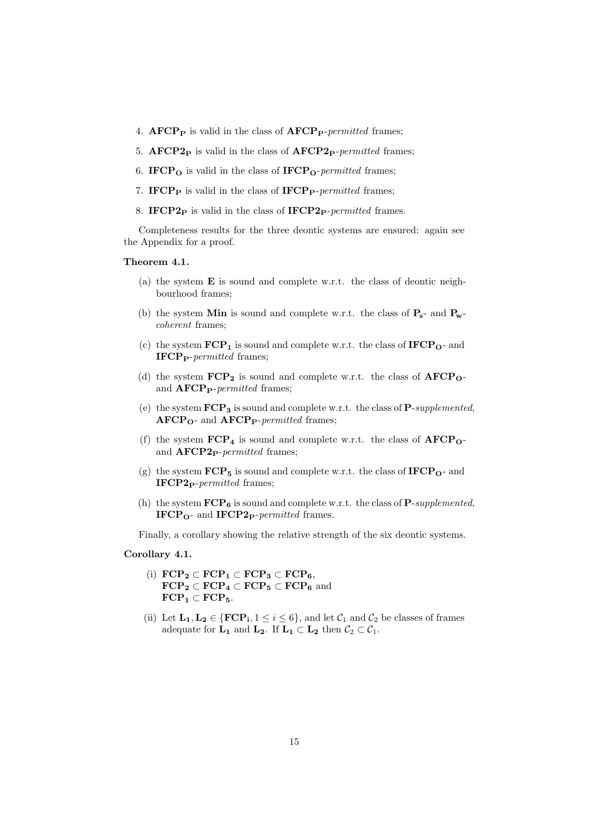- <span id="page-14-1"></span><span id="page-14-0"></span>4.  $\mathbf{AFCP_P}$  is valid in the class of  $\mathbf{AFCP_P}\text{-}permitted$  frames;
- <span id="page-14-2"></span>5.  $\text{AFCP2}_P$  is valid in the class of  $\text{AFCP2}_P$ -permitted frames;
- <span id="page-14-3"></span>6. IFCP $_{\text{O}}$  is valid in the class of IFCP $_{\text{O}}$ -permitted frames;
- <span id="page-14-4"></span>7. IFCP<sub>P</sub> is valid in the class of IFCP<sub>P</sub>-permitted frames;
- 8. IFCP2<sub>P</sub> is valid in the class of IFCP2<sub>P</sub>-permitted frames.

Completeness results for the three deontic systems are ensured: again see the Appendix for a proof.

#### <span id="page-14-8"></span>Theorem 4.1.

- (a) the system E is sound and complete w.r.t. the class of deontic neighbourhood frames;
- (b) the system Min is sound and complete w.r.t. the class of  $P_s$  and  $P_w$ coherent frames;
- (c) the system  $\mathbf{FCP_1}$  is sound and complete w.r.t. the class of  $\mathbf{IFCP_0}$  and  $\textbf{IFCP}_{\textbf{P}}\text{-}permitted$  frames;
- (d) the system  $\text{FCP}_2$  is sound and complete w.r.t. the class of  $\text{AFCP}_0$ and  $\text{AFCP}_\text{P}\text{-}permitted$  frames;
- (e) the system  $\text{FCP}_3$  is sound and complete w.r.t. the class of P-supplemented,  $\text{AFCP}_\text{O}$ - and  $\text{AFCP}_\text{P-permitted}$  frames;
- (f) the system  $\text{FCP}_4$  is sound and complete w.r.t. the class of  $\text{AFCP}_0$ and  $\bf{AFCP2}_P$ -permitted frames;
- (g) the system  $\text{FCP}_5$  is sound and complete w.r.t. the class of  $\text{IFCP}_0$  and IFCP2<sub>P</sub>-permitted frames;
- (h) the system  $\text{FCP}_6$  is sound and complete w.r.t. the class of P-supplemented, IFCP<sub>O</sub>- and IFCP<sub>2</sub>P-permitted frames.

Finally, a corollary showing the relative strength of the six deontic systems.

### <span id="page-14-6"></span><span id="page-14-5"></span>Corollary 4.1.

- (i)  $\text{FCP}_2 \subset \text{FCP}_1 \subset \text{FCP}_3 \subset \text{FCP}_6$ ,  $\text{FCP}_2 \subset \text{FCP}_4 \subset \text{FCP}_5 \subset \text{FCP}_6$  and  $\text{FCP}_1 \subset \text{FCP}_5.$
- <span id="page-14-7"></span>(ii) Let  $\mathbf{L_1}, \mathbf{L_2} \in \{ \mathbf{FCP_i}, 1 \leq i \leq 6 \}$ , and let  $\mathcal{C}_1$  and  $\mathcal{C}_2$  be classes of frames adequate for  $L_1$  and  $L_2$ . If  $L_1 \subset L_2$  then  $C_2 \subset C_1$ .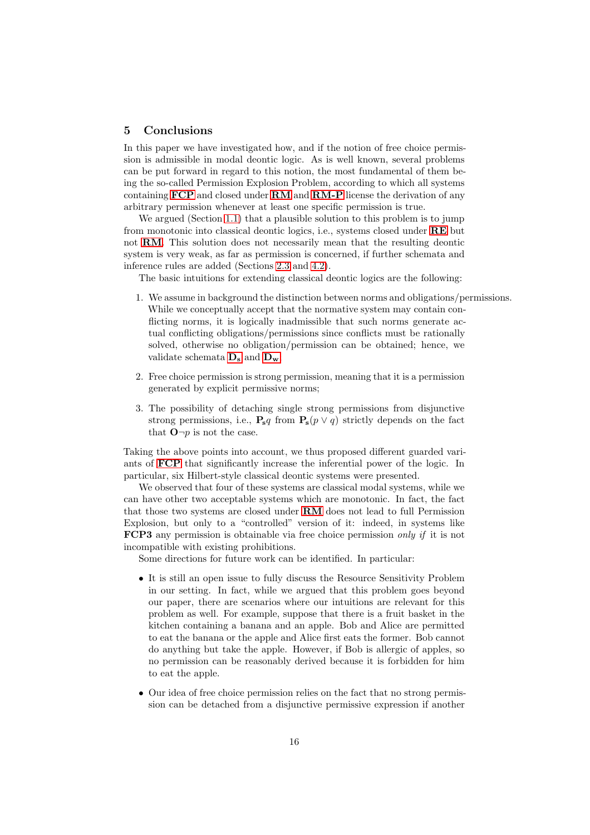# 5 Conclusions

In this paper we have investigated how, and if the notion of free choice permission is admissible in modal deontic logic. As is well known, several problems can be put forward in regard to this notion, the most fundamental of them being the so-called Permission Explosion Problem, according to which all systems containing [FCP](#page-0-0) and closed under [RM](#page-1-2) and [RM-P](#page-2-3) license the derivation of any arbitrary permission whenever at least one specific permission is true.

We argued (Section [1.1\)](#page-1-0) that a plausible solution to this problem is to jump from monotonic into classical deontic logics, i.e., systems closed under [RE](#page-1-3) but not [RM](#page-1-2). This solution does not necessarily mean that the resulting deontic system is very weak, as far as permission is concerned, if further schemata and inference rules are added (Sections [2.3](#page-5-0) and [4.2\)](#page-12-1).

The basic intuitions for extending classical deontic logics are the following:

- 1. We assume in background the distinction between norms and obligations/permissions. While we conceptually accept that the normative system may contain conflicting norms, it is logically inadmissible that such norms generate actual conflicting obligations/permissions since conflicts must be rationally solved, otherwise no obligation/permission can be obtained; hence, we validate schemata  $\mathbf{D}_{\mathbf{s}}$  $\mathbf{D}_{\mathbf{s}}$  $\mathbf{D}_{\mathbf{s}}$  and  $\mathbf{D}_{\mathbf{w}};$
- 2. Free choice permission is strong permission, meaning that it is a permission generated by explicit permissive norms;
- 3. The possibility of detaching single strong permissions from disjunctive strong permissions, i.e.,  $P_s q$  from  $P_s(p \vee q)$  strictly depends on the fact that  $\mathbf{O} \neg p$  is not the case.

Taking the above points into account, we thus proposed different guarded variants of [FCP](#page-0-0) that significantly increase the inferential power of the logic. In particular, six Hilbert-style classical deontic systems were presented.

We observed that four of these systems are classical modal systems, while we can have other two acceptable systems which are monotonic. In fact, the fact that those two systems are closed under [RM](#page-1-2) does not lead to full Permission Explosion, but only to a "controlled" version of it: indeed, in systems like FCP3 any permission is obtainable via free choice permission only if it is not incompatible with existing prohibitions.

Some directions for future work can be identified. In particular:

- It is still an open issue to fully discuss the Resource Sensitivity Problem in our setting. In fact, while we argued that this problem goes beyond our paper, there are scenarios where our intuitions are relevant for this problem as well. For example, suppose that there is a fruit basket in the kitchen containing a banana and an apple. Bob and Alice are permitted to eat the banana or the apple and Alice first eats the former. Bob cannot do anything but take the apple. However, if Bob is allergic of apples, so no permission can be reasonably derived because it is forbidden for him to eat the apple.
- Our idea of free choice permission relies on the fact that no strong permission can be detached from a disjunctive permissive expression if another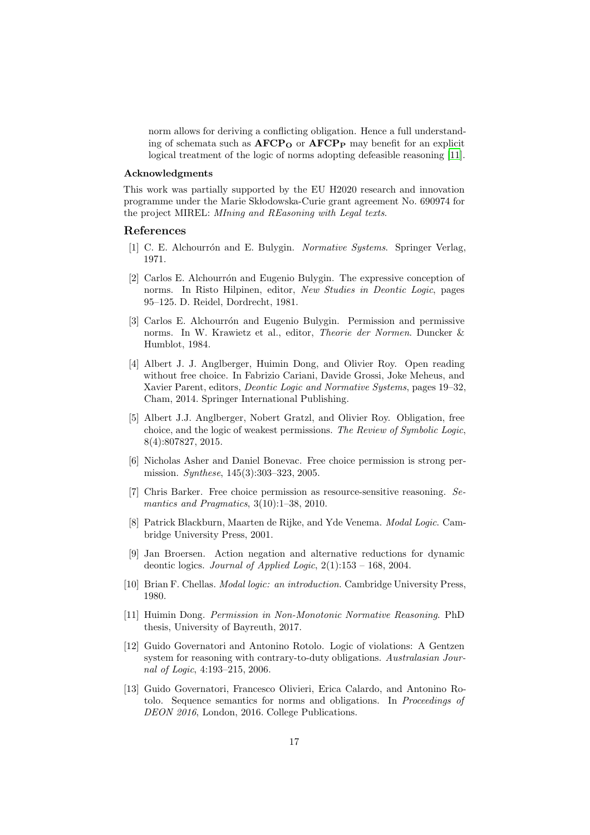norm allows for deriving a conflicting obligation. Hence a full understanding of schemata such as  $\text{AFCP}_O$  or  $\text{AFCP}_P$  may benefit for an explicit logical treatment of the logic of norms adopting defeasible reasoning [\[11\]](#page-16-0).

#### Acknowledgments

This work was partially supported by the EU H2020 research and innovation programme under the Marie Skłodowska-Curie grant agreement No. 690974 for the project MIREL: MIning and REasoning with Legal texts.

#### References

- <span id="page-16-5"></span>[1] C. E. Alchourrón and E. Bulygin. *Normative Systems*. Springer Verlag, 1971.
- <span id="page-16-8"></span>[2] Carlos E. Alchourrón and Eugenio Bulygin. The expressive conception of norms. In Risto Hilpinen, editor, New Studies in Deontic Logic, pages 95–125. D. Reidel, Dordrecht, 1981.
- <span id="page-16-9"></span>[3] Carlos E. Alchourrón and Eugenio Bulygin. Permission and permissive norms. In W. Krawietz et al., editor, Theorie der Normen. Duncker & Humblot, 1984.
- <span id="page-16-4"></span>[4] Albert J. J. Anglberger, Huimin Dong, and Olivier Roy. Open reading without free choice. In Fabrizio Cariani, Davide Grossi, Joke Meheus, and Xavier Parent, editors, Deontic Logic and Normative Systems, pages 19–32, Cham, 2014. Springer International Publishing.
- <span id="page-16-10"></span>[5] Albert J.J. Anglberger, Nobert Gratzl, and Olivier Roy. Obligation, free choice, and the logic of weakest permissions. The Review of Symbolic Logic, 8(4):807827, 2015.
- <span id="page-16-1"></span>[6] Nicholas Asher and Daniel Bonevac. Free choice permission is strong permission. Synthese, 145(3):303–323, 2005.
- <span id="page-16-3"></span>[7] Chris Barker. Free choice permission as resource-sensitive reasoning. Semantics and Pragmatics, 3(10):1–38, 2010.
- <span id="page-16-12"></span>[8] Patrick Blackburn, Maarten de Rijke, and Yde Venema. Modal Logic. Cambridge University Press, 2001.
- <span id="page-16-11"></span>[9] Jan Broersen. Action negation and alternative reductions for dynamic deontic logics. Journal of Applied Logic,  $2(1):153 - 168$ ,  $2004$ .
- <span id="page-16-2"></span>[10] Brian F. Chellas. Modal logic: an introduction. Cambridge University Press, 1980.
- <span id="page-16-0"></span>[11] Huimin Dong. Permission in Non-Monotonic Normative Reasoning. PhD thesis, University of Bayreuth, 2017.
- <span id="page-16-6"></span>[12] Guido Governatori and Antonino Rotolo. Logic of violations: A Gentzen system for reasoning with contrary-to-duty obligations. Australasian Journal of Logic, 4:193–215, 2006.
- <span id="page-16-7"></span>[13] Guido Governatori, Francesco Olivieri, Erica Calardo, and Antonino Rotolo. Sequence semantics for norms and obligations. In Proceedings of DEON 2016, London, 2016. College Publications.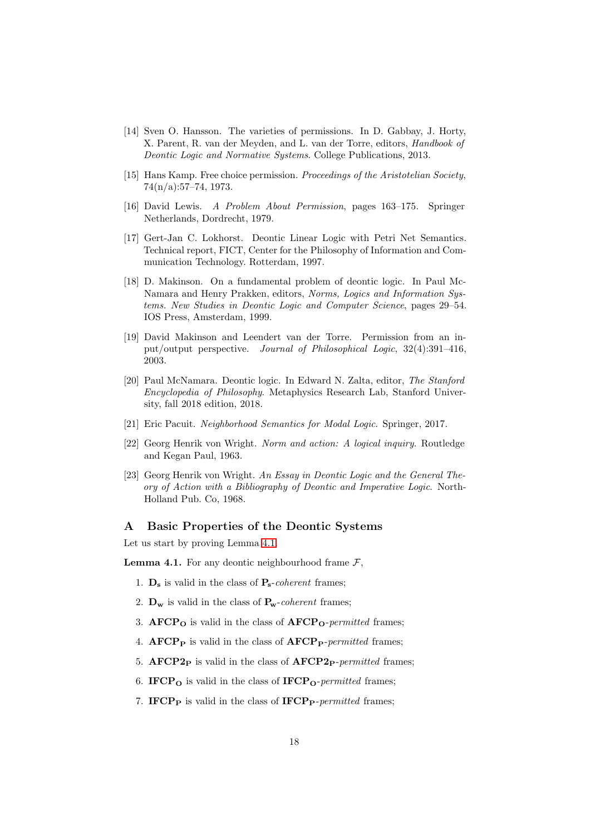- <span id="page-17-1"></span>[14] Sven O. Hansson. The varieties of permissions. In D. Gabbay, J. Horty, X. Parent, R. van der Meyden, and L. van der Torre, editors, Handbook of Deontic Logic and Normative Systems. College Publications, 2013.
- <span id="page-17-7"></span>[15] Hans Kamp. Free choice permission. Proceedings of the Aristotelian Society, 74(n/a):57–74, 1973.
- <span id="page-17-8"></span>[16] David Lewis. A Problem About Permission, pages 163–175. Springer Netherlands, Dordrecht, 1979.
- <span id="page-17-3"></span>[17] Gert-Jan C. Lokhorst. Deontic Linear Logic with Petri Net Semantics. Technical report, FICT, Center for the Philosophy of Information and Communication Technology. Rotterdam, 1997.
- <span id="page-17-4"></span>[18] D. Makinson. On a fundamental problem of deontic logic. In Paul Mc-Namara and Henry Prakken, editors, Norms, Logics and Information Systems. New Studies in Deontic Logic and Computer Science, pages 29–54. IOS Press, Amsterdam, 1999.
- <span id="page-17-5"></span>[19] David Makinson and Leendert van der Torre. Permission from an input/output perspective. Journal of Philosophical Logic, 32(4):391–416, 2003.
- <span id="page-17-2"></span>[20] Paul McNamara. Deontic logic. In Edward N. Zalta, editor, The Stanford Encyclopedia of Philosophy. Metaphysics Research Lab, Stanford University, fall 2018 edition, 2018.
- <span id="page-17-9"></span>[21] Eric Pacuit. Neighborhood Semantics for Modal Logic. Springer, 2017.
- <span id="page-17-6"></span>[22] Georg Henrik von Wright. Norm and action: A logical inquiry. Routledge and Kegan Paul, 1963.
- <span id="page-17-0"></span>[23] Georg Henrik von Wright. An Essay in Deontic Logic and the General Theory of Action with a Bibliography of Deontic and Imperative Logic. North-Holland Pub. Co, 1968.

# A Basic Properties of the Deontic Systems

Let us start by proving Lemma [4.1.](#page-13-1)

**Lemma 4.1.** For any deontic neighbourhood frame  $\mathcal{F}$ .

- 1.  $\mathbf{D}_s$  is valid in the class of  $\mathbf{P}_s$ -coherent frames;
- 2.  $\mathbf{D_w}$  is valid in the class of  $\mathbf{P_w}$ -coherent frames;
- 3.  $\text{AFCP}_0$  is valid in the class of  $\text{AFCP}_0$ -permitted frames;
- 4.  $\mathbf{AFCP_P}$  is valid in the class of  $\mathbf{AFCP_P}\text{-}permitted$  frames;
- 5.  $\text{AFCP2}_P$  is valid in the class of  $\text{AFCP2}_P$ -permitted frames;
- 6. IFCP<sub>O</sub> is valid in the class of IFCP<sub>O</sub>-permitted frames;
- 7. IFCP<sub>P</sub> is valid in the class of IFCP<sub>P</sub>-permitted frames;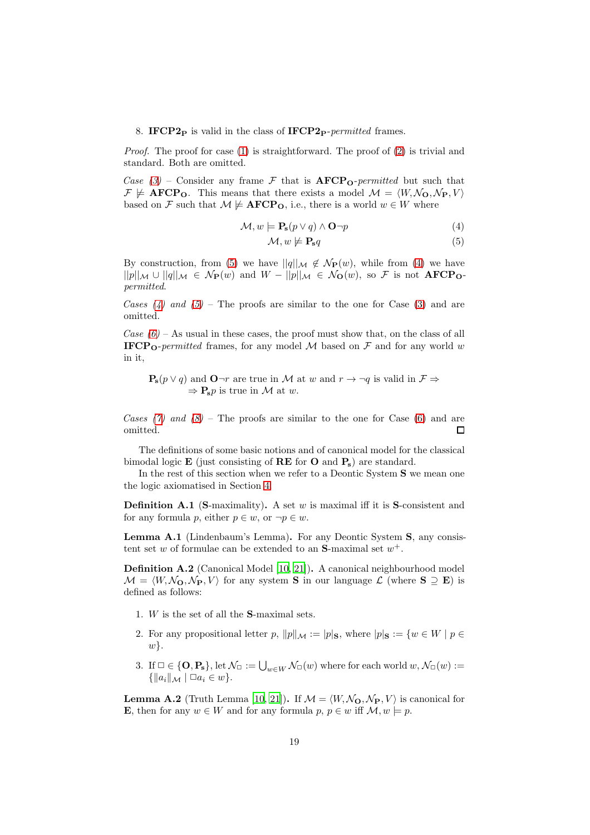#### 8. IFCP2<sub>P</sub> is valid in the class of IFCP2<sub>P</sub>-permitted frames.

Proof. The proof for case [\(1\)](#page-13-2) is straightforward. The proof of [\(2\)](#page-13-3) is trivial and standard. Both are omitted.

Case [\(3\)](#page-13-4) – Consider any frame F that is  $\text{AFCP}_{\text{O}}$ -permitted but such that  $\mathcal{F} \not\models \mathbf{AFCP_O}.$  This means that there exists a model  $\mathcal{M} = \langle W, \mathcal{N}_0, \mathcal{N}_P, V \rangle$ based on F such that  $M \not\models \text{AFCP}_0$ , i.e., there is a world  $w \in W$  where

$$
\mathcal{M}, w \models \mathbf{P_s}(p \lor q) \land \mathbf{O} \neg p \tag{4}
$$

<span id="page-18-1"></span><span id="page-18-0"></span>
$$
\mathcal{M}, w \not\models \mathbf{P_s} q \tag{5}
$$

By construction, from [\(5\)](#page-18-0) we have  $||q||_{\mathcal{M}} \notin \mathcal{N}_{\mathbf{P}}(w)$ , while from [\(4\)](#page-18-1) we have  $||p||_{\mathcal{M}} \cup ||q||_{\mathcal{M}} \in \mathcal{N}_{\mathbf{P}}(w)$  and  $W - ||p||_{\mathcal{M}} \in \mathcal{N}_{\mathbf{O}}(w)$ , so F is not  $\mathbf{AFCP}_{\mathbf{O}}$ permitted.

Cases  $(4)$  and  $(5)$  – The proofs are similar to the one for Case  $(3)$  and are omitted.

Case  $(6)$  – As usual in these cases, the proof must show that, on the class of all **IFCP<sub>O</sub>**-permitted frames, for any model M based on F and for any world w in it,

 $P_s(p \vee q)$  and  $Q \neg r$  are true in M at w and  $r \rightarrow \neg q$  is valid in  $\mathcal{F} \Rightarrow$  $\Rightarrow$  **P**<sub>s</sub>p is true in M at w.

Cases [\(7\)](#page-14-3) and  $(8)$  – The proofs are similar to the one for Case [\(6\)](#page-14-2) and are omitted.  $\Box$ 

The definitions of some basic notions and of canonical model for the classical bimodal logic  $\bf{E}$  (just consisting of  $\bf{RE}$  for  $\bf{O}$  and  $\bf{P_s}$ ) are standard.

In the rest of this section when we refer to a Deontic System S we mean one the logic axiomatised in Section [4.](#page-11-0)

**Definition A.1** (S-maximality). A set w is maximal iff it is S-consistent and for any formula p, either  $p \in w$ , or  $\neg p \in w$ .

Lemma A.1 (Lindenbaum's Lemma). For any Deontic System S, any consistent set w of formulae can be extended to an **S**-maximal set  $w^+$ .

Definition A.2 (Canonical Model [\[10](#page-16-2), [21\]](#page-17-9)). A canonical neighbourhood model  $M = \langle W, \mathcal{N}_{\mathbf{\Omega}}, \mathcal{N}_{\mathbf{P}}, V \rangle$  for any system **S** in our language  $\mathcal{L}$  (where **S**  $\supseteq$  **E**) is defined as follows:

- 1. W is the set of all the S-maximal sets.
- 2. For any propositional letter p,  $||p||_{\mathcal{M}} := |p|_{\mathbf{S}}$ , where  $|p|_{\mathbf{S}} := \{w \in W \mid p \in \mathcal{M} \mid p \in \mathcal{M} \mid p \in \mathcal{M} \mid p \in \mathcal{M} \mid p \in \mathcal{M} \mid p \in \mathcal{M} \mid p \in \mathcal{M} \mid p \in \mathcal{M} \mid p \in \mathcal{M} \mid p \in \mathcal{M} \mid p \in \mathcal{M} \mid p \in \mathcal{M} \mid p \in$  $w$ .
- 3. If  $\Box \in \{\mathbf{O}, \mathbf{P_s}\},\$ let  $\mathcal{N}_{\Box} := \bigcup_{w \in W} \mathcal{N}_{\Box}(w)$  where for each world  $w, \mathcal{N}_{\Box}(w) :=$  $\{\|a_i\|_{\mathcal{M}} \mid \Box a_i \in w\}.$

**Lemma A.2** (Truth Lemma [\[10,](#page-16-2) [21](#page-17-9)]). If  $\mathcal{M} = \langle W, \mathcal{N}_{\mathbf{O}}, \mathcal{N}_{\mathbf{P}}, V \rangle$  is canonical for **E**, then for any  $w \in W$  and for any formula  $p, p \in w$  iff  $\mathcal{M}, w \models p$ .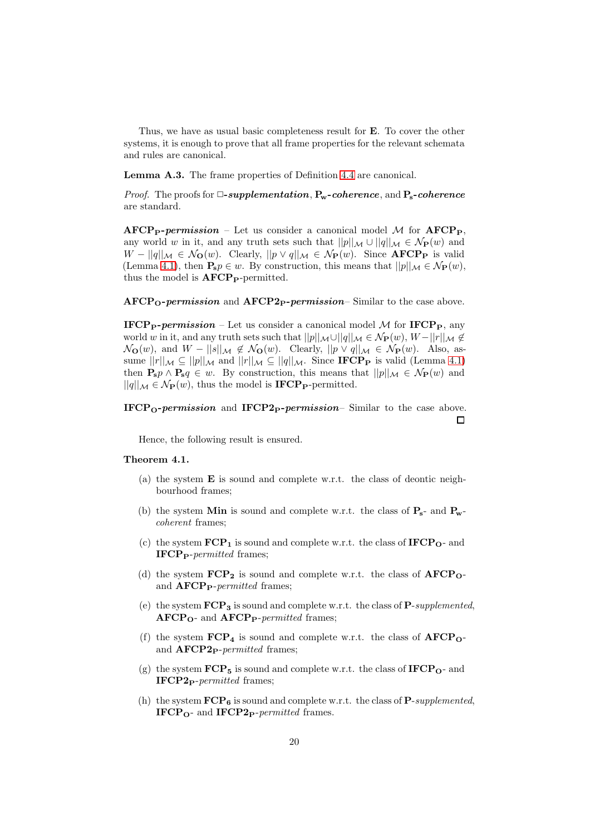Thus, we have as usual basic completeness result for E. To cover the other systems, it is enough to prove that all frame properties for the relevant schemata and rules are canonical.

Lemma A.3. The frame properties of Definition [4.4](#page-13-5) are canonical.

*Proof.* The proofs for  $\Box$ -supplementation,  $P_w$ -coherence, and  $P_s$ -coherence are standard.

 $\text{AFCP}_\text{P-} \textit{permission}$  – Let us consider a canonical model M for  $\text{AFCP}_\text{P}$ , any world w in it, and any truth sets such that  $||p||_{\mathcal{M}} \cup ||q||_{\mathcal{M}} \in \mathcal{N}_{\mathbf{P}}(w)$  and  $W - ||q||_{\mathcal{M}} \in \mathcal{N}_{\mathbf{O}}(w)$ . Clearly,  $||p \vee q||_{\mathcal{M}} \in \mathcal{N}_{\mathbf{P}}(w)$ . Since **AFCP**<sub>P</sub> is valid (Lemma [4.1\)](#page-13-1), then  $P_s p \in w$ . By construction, this means that  $||p||_{\mathcal{M}} \in \mathcal{N}_{\mathbf{P}}(w)$ , thus the model is  $\text{AFCP}_P$ -permitted.

 $\text{AFCP}_\text{O-}$  permission and  $\text{AFCP2}_\text{P-}$  permission– Similar to the case above.

IFCP<sub>P</sub>-permission – Let us consider a canonical model  $M$  for IFCP<sub>P</sub>, any world w in it, and any truth sets such that  $||p||_{\mathcal{M}} \cup ||q||_{\mathcal{M}} \in \mathcal{N}_{\mathbf{P}}(w)$ ,  $W - ||r||_{\mathcal{M}} \notin$  $\mathcal{N}_{\mathbf{O}}(w)$ , and  $W - ||s||_{\mathcal{M}} \notin \mathcal{N}_{\mathbf{O}}(w)$ . Clearly,  $||p \vee q||_{\mathcal{M}} \in \mathcal{N}_{\mathbf{P}}(w)$ . Also, assume  $||r||_{\mathcal{M}} \subseteq ||p||_{\mathcal{M}}$  and  $||r||_{\mathcal{M}} \subseteq ||q||_{\mathcal{M}}$ . Since **IFCP**<sub>P</sub> is valid (Lemma [4.1\)](#page-13-1) then  $P_s p \wedge P_s q \in w$ . By construction, this means that  $||p||_{\mathcal{M}} \in \mathcal{N}_{\mathbf{P}}(w)$  and  $||q||_{\mathcal{M}} \in \mathcal{N}_{\mathbf{P}}(w)$ , thus the model is **IFCP**<sub>P</sub>-permitted.

### IFCP<sub>O</sub>-permission and IFCP<sub>2</sub>-permission– Similar to the case above.  $\Box$

Hence, the following result is ensured.

## Theorem 4.1.

- (a) the system E is sound and complete w.r.t. the class of deontic neighbourhood frames;
- (b) the system Min is sound and complete w.r.t. the class of  $P_s$  and  $P_w$ coherent frames;
- (c) the system  $\text{FCP}_1$  is sound and complete w.r.t. the class of  $\text{IFCP}_0$  and  $\textbf{IFCP}_{\textbf{P}}\textit{-permitted frames};$
- (d) the system  $\mathbf{FCP_2}$  is sound and complete w.r.t. the class of  $\mathbf{AFCP_O}$ and  $\bf{AFCP}_{\bf{P}}$ -permitted frames;
- (e) the system  $\text{FCP}_3$  is sound and complete w.r.t. the class of P-supplemented,  $\text{AFCP}_{\text{O}}$ - and  $\text{AFCP}_{\text{P}}$ -permitted frames;
- (f) the system  $\text{FCP}_4$  is sound and complete w.r.t. the class of  $\text{AFCP}_0$ and  $\bf{AFCP2}_P$ -permitted frames;
- (g) the system  $\mathbf{FCP}_5$  is sound and complete w.r.t. the class of  $\mathbf{IFCP}_0$  and  $IFCP2_P-permitted$  frames;
- (h) the system  $\mathbf{FCP}_6$  is sound and complete w.r.t. the class of P-supplemented,  $IFCP<sub>O</sub>$ - and  $IFCP2<sub>P</sub>$ -permitted frames.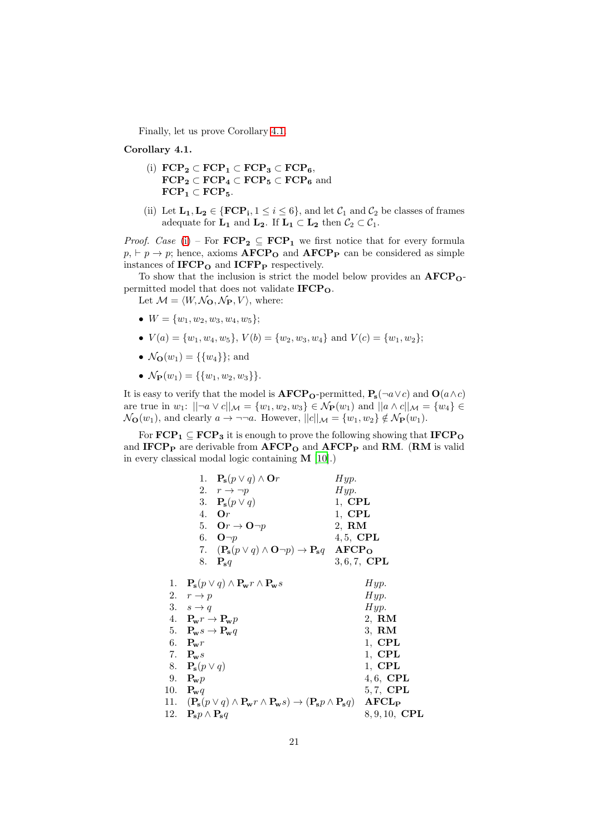Finally, let us prove Corollary [4.1.](#page-14-5)

Corollary 4.1.

- (i)  $\text{FCP}_2 \subset \text{FCP}_1 \subset \text{FCP}_3 \subset \text{FCP}_6$ ,  $\text{FCP}_2 \subset \text{FCP}_4 \subset \text{FCP}_5 \subset \text{FCP}_6$  and  $\text{FCP}_1 \subset \text{FCP}_5.$
- (ii) Let  $\mathbf{L}_1, \mathbf{L}_2 \in \{ \text{FCP}_1, 1 \leq i \leq 6 \}$ , and let  $\mathcal{C}_1$  and  $\mathcal{C}_2$  be classes of frames adequate for  $L_1$  and  $L_2$ . If  $L_1 \subset L_2$  then  $C_2 \subset C_1$ .

*Proof.* Case [\(i\)](#page-14-6) – For  $\mathbf{FCP_2} \subseteq \mathbf{FCP_1}$  we first notice that for every formula  $p_1 \rightharpoonup p$ ; hence, axioms  $\text{AFCP}_0$  and  $\text{AFCP}_P$  can be considered as simple instances of  $\textbf{IFCP}_\textbf{O}$  and  $\textbf{ICFP}_\textbf{P}$  respectively.

To show that the inclusion is strict the model below provides an  $\text{AFCP}_0$ permitted model that does not validate  $IFCP<sub>O</sub>$ .

Let  $M = \langle W, \mathcal{N}_{\Omega}, \mathcal{N}_{\mathbf{P}}, V \rangle$ , where:

- $W = \{w_1, w_2, w_3, w_4, w_5\};$
- $V(a) = \{w_1, w_4, w_5\}, V(b) = \{w_2, w_3, w_4\}$  and  $V(c) = \{w_1, w_2\};$
- $\mathcal{N}_{\mathbf{Q}}(w_1) = \{ \{ w_4 \} \};$  and
- $\mathcal{N}_{\mathbf{P}}(w_1) = \{ \{w_1, w_2, w_3\} \}.$

It is easy to verify that the model is  $\text{AFCP}_{\text{O}}$ -permitted,  $P_{\text{s}}(\neg a \lor c)$  and  $\text{O}(a \land c)$ are true in  $w_1: ||\neg a \vee c||_{\mathcal{M}} = \{w_1, w_2, w_3\} \in \mathcal{N}_{\mathbf{P}}(w_1)$  and  $||a \wedge c||_{\mathcal{M}} = \{w_4\} \in$  $\mathcal{N}_{\mathbf{O}}(w_1)$ , and clearly  $a \to \neg \neg a$ . However,  $||c||_{\mathcal{M}} = \{w_1, w_2\} \notin \mathcal{N}_{\mathbf{P}}(w_1)$ .

For  $\text{FCP}_1 \subseteq \text{FCP}_3$  it is enough to prove the following showing that  $\text{IFCP}_0$ and IFCP<sub>P</sub> are derivable from  $AFCP<sub>O</sub>$  and  $AFCP<sub>P</sub>$  and RM. (RM is valid in every classical modal logic containing M [\[10\]](#page-16-2).)

|    | 1. $\mathbf{P_s}(p \vee q) \wedge \mathbf{O}r$                                                                         | Hyp.                    |
|----|------------------------------------------------------------------------------------------------------------------------|-------------------------|
|    | 2. $r \rightarrow \neg p$                                                                                              | Hyp.                    |
|    | 3. $\mathbf{P_s}(p \vee q)$                                                                                            | $1,$ CPL                |
|    | 4. Or                                                                                                                  | $1,$ CPL                |
|    | 5. Or $\rightarrow$ O $\neg p$                                                                                         | 2, RM                   |
|    | 6. $\mathbf{O}\neg p$                                                                                                  | $4, 5$ , CPL            |
|    | 7. $(\mathbf{P_s}(p \lor q) \land \mathbf{O}\neg p) \rightarrow \mathbf{P_s}q$ AFCP <sub>O</sub>                       |                         |
|    | 8. $P_s q$                                                                                                             | $3, 6, 7,$ CPL          |
| 1. | $\mathbf{P_s}(p \vee q) \wedge \mathbf{P_w} r \wedge \mathbf{P_w} s$                                                   | Hyp.                    |
|    | 2. $r \rightarrow p$                                                                                                   | Hyp.                    |
|    | 3. $s \rightarrow q$                                                                                                   | Hyp.                    |
|    | 4. $P_{\mathbf{w}}r \rightarrow P_{\mathbf{w}}p$                                                                       | $2, \, \mathbf{RM}$     |
|    | 5. $P_{\mathbf{w}}s \to P_{\mathbf{w}}q$                                                                               | $3, \, \mathbf{RM}$     |
|    | 6. $\mathbf{P_w}r$                                                                                                     | $1,$ CPL                |
|    | 7. $P_{\mathbf{w}}s$                                                                                                   | $1,$ CPL                |
|    | 8. $\mathbf{P_s}(p \vee q)$                                                                                            | $1,$ CPL                |
|    | 9. $P_w p$                                                                                                             | $4,6$ , CPL             |
|    | 10. $\mathbf{P_w}q$                                                                                                    | 5,7, CPL                |
|    | 11. $(\mathbf{P_s}(p \lor q) \land \mathbf{P_w}r \land \mathbf{P_w}s) \rightarrow (\mathbf{P_s}p \land \mathbf{P_s}q)$ | AFCL <sub>P</sub>       |
|    | 12. $\mathbf{P_s} p \wedge \mathbf{P_s} q$                                                                             | $8, 9, 10, \text{ CPL}$ |
|    |                                                                                                                        |                         |